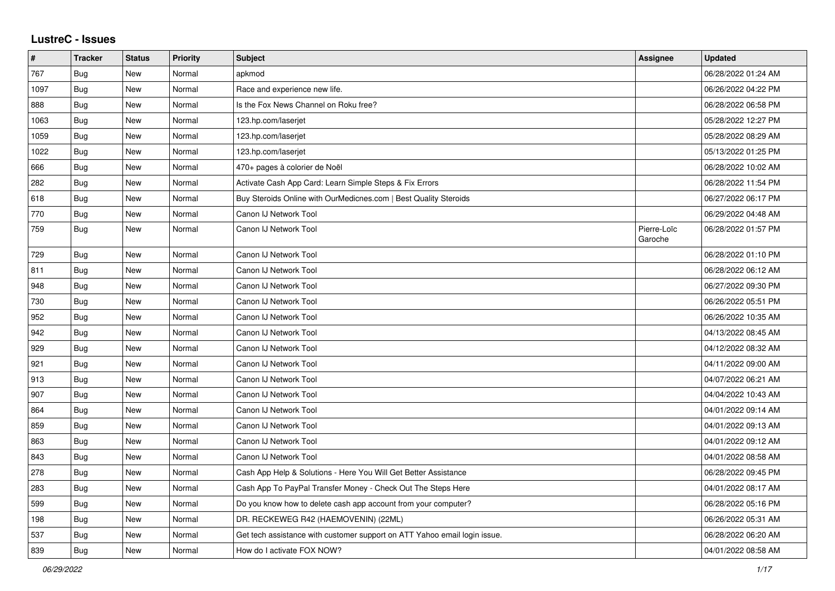## **LustreC - Issues**

| #    | <b>Tracker</b> | <b>Status</b> | <b>Priority</b> | <b>Subject</b>                                                            | Assignee               | <b>Updated</b>      |
|------|----------------|---------------|-----------------|---------------------------------------------------------------------------|------------------------|---------------------|
| 767  | <b>Bug</b>     | <b>New</b>    | Normal          | apkmod                                                                    |                        | 06/28/2022 01:24 AM |
| 1097 | Bug            | <b>New</b>    | Normal          | Race and experience new life.                                             |                        | 06/26/2022 04:22 PM |
| 888  | Bug            | <b>New</b>    | Normal          | Is the Fox News Channel on Roku free?                                     |                        | 06/28/2022 06:58 PM |
| 1063 | <b>Bug</b>     | New           | Normal          | 123.hp.com/laserjet                                                       |                        | 05/28/2022 12:27 PM |
| 1059 | <b>Bug</b>     | New           | Normal          | 123.hp.com/laserjet                                                       |                        | 05/28/2022 08:29 AM |
| 1022 | <b>Bug</b>     | <b>New</b>    | Normal          | 123.hp.com/laserjet                                                       |                        | 05/13/2022 01:25 PM |
| 666  | <b>Bug</b>     | <b>New</b>    | Normal          | 470+ pages à colorier de Noël                                             |                        | 06/28/2022 10:02 AM |
| 282  | Bug            | <b>New</b>    | Normal          | Activate Cash App Card: Learn Simple Steps & Fix Errors                   |                        | 06/28/2022 11:54 PM |
| 618  | Bug            | New           | Normal          | Buy Steroids Online with OurMedicnes.com   Best Quality Steroids          |                        | 06/27/2022 06:17 PM |
| 770  | Bug            | <b>New</b>    | Normal          | Canon IJ Network Tool                                                     |                        | 06/29/2022 04:48 AM |
| 759  | <b>Bug</b>     | New           | Normal          | Canon IJ Network Tool                                                     | Pierre-Loïc<br>Garoche | 06/28/2022 01:57 PM |
| 729  | Bug            | <b>New</b>    | Normal          | Canon IJ Network Tool                                                     |                        | 06/28/2022 01:10 PM |
| 811  | Bug            | New           | Normal          | Canon IJ Network Tool                                                     |                        | 06/28/2022 06:12 AM |
| 948  | Bug            | New           | Normal          | Canon IJ Network Tool                                                     |                        | 06/27/2022 09:30 PM |
| 730  | Bug            | New           | Normal          | Canon IJ Network Tool                                                     |                        | 06/26/2022 05:51 PM |
| 952  | Bug            | New           | Normal          | Canon IJ Network Tool                                                     |                        | 06/26/2022 10:35 AM |
| 942  | Bug            | <b>New</b>    | Normal          | Canon IJ Network Tool                                                     |                        | 04/13/2022 08:45 AM |
| 929  | <b>Bug</b>     | <b>New</b>    | Normal          | Canon IJ Network Tool                                                     |                        | 04/12/2022 08:32 AM |
| 921  | Bug            | <b>New</b>    | Normal          | Canon IJ Network Tool                                                     |                        | 04/11/2022 09:00 AM |
| 913  | <b>Bug</b>     | New           | Normal          | Canon IJ Network Tool                                                     |                        | 04/07/2022 06:21 AM |
| 907  | <b>Bug</b>     | New           | Normal          | Canon IJ Network Tool                                                     |                        | 04/04/2022 10:43 AM |
| 864  | Bug            | <b>New</b>    | Normal          | Canon IJ Network Tool                                                     |                        | 04/01/2022 09:14 AM |
| 859  | Bug            | <b>New</b>    | Normal          | Canon IJ Network Tool                                                     |                        | 04/01/2022 09:13 AM |
| 863  | Bug            | <b>New</b>    | Normal          | Canon IJ Network Tool                                                     |                        | 04/01/2022 09:12 AM |
| 843  | Bug            | New           | Normal          | Canon IJ Network Tool                                                     |                        | 04/01/2022 08:58 AM |
| 278  | Bug            | New           | Normal          | Cash App Help & Solutions - Here You Will Get Better Assistance           |                        | 06/28/2022 09:45 PM |
| 283  | Bug            | New           | Normal          | Cash App To PayPal Transfer Money - Check Out The Steps Here              |                        | 04/01/2022 08:17 AM |
| 599  | Bug            | New           | Normal          | Do you know how to delete cash app account from your computer?            |                        | 06/28/2022 05:16 PM |
| 198  | Bug            | New           | Normal          | DR. RECKEWEG R42 (HAEMOVENIN) (22ML)                                      |                        | 06/26/2022 05:31 AM |
| 537  | Bug            | New           | Normal          | Get tech assistance with customer support on ATT Yahoo email login issue. |                        | 06/28/2022 06:20 AM |
| 839  | Bug            | New           | Normal          | How do I activate FOX NOW?                                                |                        | 04/01/2022 08:58 AM |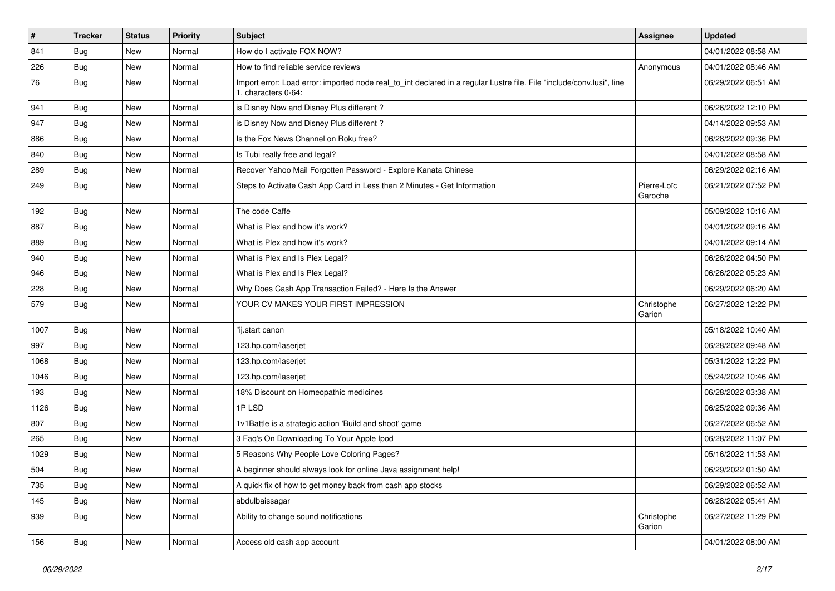| $\sharp$ | <b>Tracker</b> | <b>Status</b> | <b>Priority</b> | <b>Subject</b>                                                                                                                               | Assignee               | <b>Updated</b>      |
|----------|----------------|---------------|-----------------|----------------------------------------------------------------------------------------------------------------------------------------------|------------------------|---------------------|
| 841      | <b>Bug</b>     | New           | Normal          | How do I activate FOX NOW?                                                                                                                   |                        | 04/01/2022 08:58 AM |
| 226      | Bug            | <b>New</b>    | Normal          | How to find reliable service reviews                                                                                                         | Anonymous              | 04/01/2022 08:46 AM |
| 76       | Bug            | New           | Normal          | Import error: Load error: imported node real_to_int declared in a regular Lustre file. File "include/conv.lusi", line<br>1. characters 0-64: |                        | 06/29/2022 06:51 AM |
| 941      | Bug            | <b>New</b>    | Normal          | is Disney Now and Disney Plus different?                                                                                                     |                        | 06/26/2022 12:10 PM |
| 947      | Bug            | <b>New</b>    | Normal          | is Disney Now and Disney Plus different?                                                                                                     |                        | 04/14/2022 09:53 AM |
| 886      | Bug            | <b>New</b>    | Normal          | Is the Fox News Channel on Roku free?                                                                                                        |                        | 06/28/2022 09:36 PM |
| 840      | Bug            | <b>New</b>    | Normal          | Is Tubi really free and legal?                                                                                                               |                        | 04/01/2022 08:58 AM |
| 289      | Bug            | <b>New</b>    | Normal          | Recover Yahoo Mail Forgotten Password - Explore Kanata Chinese                                                                               |                        | 06/29/2022 02:16 AM |
| 249      | Bug            | <b>New</b>    | Normal          | Steps to Activate Cash App Card in Less then 2 Minutes - Get Information                                                                     | Pierre-Loïc<br>Garoche | 06/21/2022 07:52 PM |
| 192      | Bug            | <b>New</b>    | Normal          | The code Caffe                                                                                                                               |                        | 05/09/2022 10:16 AM |
| 887      | Bug            | New           | Normal          | What is Plex and how it's work?                                                                                                              |                        | 04/01/2022 09:16 AM |
| 889      | Bug            | <b>New</b>    | Normal          | What is Plex and how it's work?                                                                                                              |                        | 04/01/2022 09:14 AM |
| 940      | Bug            | <b>New</b>    | Normal          | What is Plex and Is Plex Legal?                                                                                                              |                        | 06/26/2022 04:50 PM |
| 946      | Bug            | <b>New</b>    | Normal          | What is Plex and Is Plex Legal?                                                                                                              |                        | 06/26/2022 05:23 AM |
| 228      | Bug            | New           | Normal          | Why Does Cash App Transaction Failed? - Here Is the Answer                                                                                   |                        | 06/29/2022 06:20 AM |
| 579      | Bug            | New           | Normal          | YOUR CV MAKES YOUR FIRST IMPRESSION                                                                                                          | Christophe<br>Garion   | 06/27/2022 12:22 PM |
| 1007     | Bug            | <b>New</b>    | Normal          | "ij.start canon                                                                                                                              |                        | 05/18/2022 10:40 AM |
| 997      | Bug            | <b>New</b>    | Normal          | 123.hp.com/laserjet                                                                                                                          |                        | 06/28/2022 09:48 AM |
| 1068     | Bug            | <b>New</b>    | Normal          | 123.hp.com/laserjet                                                                                                                          |                        | 05/31/2022 12:22 PM |
| 1046     | Bug            | New           | Normal          | 123.hp.com/laserjet                                                                                                                          |                        | 05/24/2022 10:46 AM |
| 193      | Bug            | <b>New</b>    | Normal          | 18% Discount on Homeopathic medicines                                                                                                        |                        | 06/28/2022 03:38 AM |
| 1126     | Bug            | <b>New</b>    | Normal          | 1PLSD                                                                                                                                        |                        | 06/25/2022 09:36 AM |
| 807      | Bug            | <b>New</b>    | Normal          | 1v1Battle is a strategic action 'Build and shoot' game                                                                                       |                        | 06/27/2022 06:52 AM |
| 265      | Bug            | <b>New</b>    | Normal          | 3 Faq's On Downloading To Your Apple Ipod                                                                                                    |                        | 06/28/2022 11:07 PM |
| 1029     | Bug            | <b>New</b>    | Normal          | 5 Reasons Why People Love Coloring Pages?                                                                                                    |                        | 05/16/2022 11:53 AM |
| 504      | Bug            | New           | Normal          | A beginner should always look for online Java assignment help!                                                                               |                        | 06/29/2022 01:50 AM |
| 735      | Bug            | New           | Normal          | A quick fix of how to get money back from cash app stocks                                                                                    |                        | 06/29/2022 06:52 AM |
| 145      | Bug            | New           | Normal          | abdulbaissagar                                                                                                                               |                        | 06/28/2022 05:41 AM |
| 939      | Bug            | New           | Normal          | Ability to change sound notifications                                                                                                        | Christophe<br>Garion   | 06/27/2022 11:29 PM |
| 156      | Bug            | New           | Normal          | Access old cash app account                                                                                                                  |                        | 04/01/2022 08:00 AM |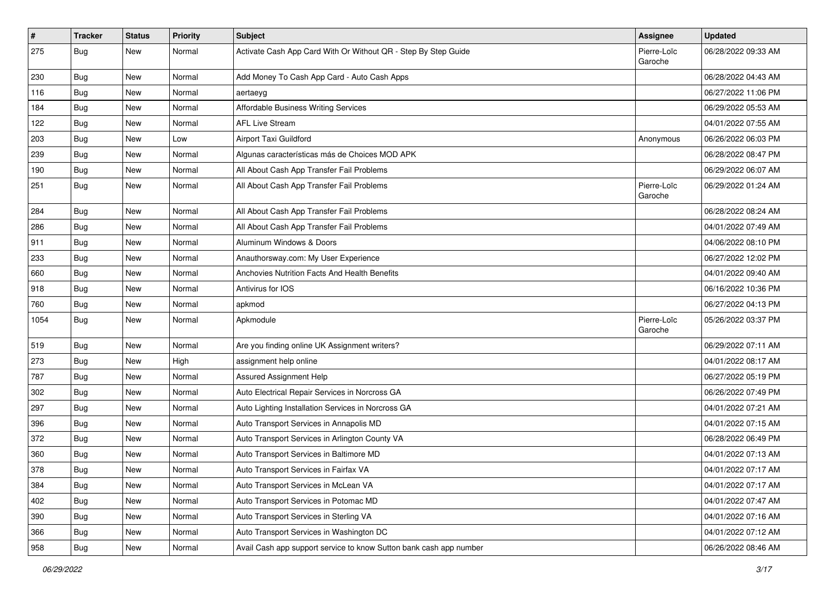| $\vert$ # | <b>Tracker</b> | <b>Status</b> | <b>Priority</b> | <b>Subject</b>                                                     | <b>Assignee</b>        | <b>Updated</b>      |
|-----------|----------------|---------------|-----------------|--------------------------------------------------------------------|------------------------|---------------------|
| 275       | Bug            | New           | Normal          | Activate Cash App Card With Or Without QR - Step By Step Guide     | Pierre-Loïc<br>Garoche | 06/28/2022 09:33 AM |
| 230       | Bug            | New           | Normal          | Add Money To Cash App Card - Auto Cash Apps                        |                        | 06/28/2022 04:43 AM |
| 116       | <b>Bug</b>     | New           | Normal          | aertaeyg                                                           |                        | 06/27/2022 11:06 PM |
| 184       | Bug            | <b>New</b>    | Normal          | Affordable Business Writing Services                               |                        | 06/29/2022 05:53 AM |
| 122       | <b>Bug</b>     | New           | Normal          | <b>AFL Live Stream</b>                                             |                        | 04/01/2022 07:55 AM |
| 203       | Bug            | New           | Low             | Airport Taxi Guildford                                             | Anonymous              | 06/26/2022 06:03 PM |
| 239       | <b>Bug</b>     | New           | Normal          | Algunas características más de Choices MOD APK                     |                        | 06/28/2022 08:47 PM |
| 190       | <b>Bug</b>     | <b>New</b>    | Normal          | All About Cash App Transfer Fail Problems                          |                        | 06/29/2022 06:07 AM |
| 251       | Bug            | New           | Normal          | All About Cash App Transfer Fail Problems                          | Pierre-Loïc<br>Garoche | 06/29/2022 01:24 AM |
| 284       | <b>Bug</b>     | New           | Normal          | All About Cash App Transfer Fail Problems                          |                        | 06/28/2022 08:24 AM |
| 286       | Bug            | <b>New</b>    | Normal          | All About Cash App Transfer Fail Problems                          |                        | 04/01/2022 07:49 AM |
| 911       | <b>Bug</b>     | New           | Normal          | Aluminum Windows & Doors                                           |                        | 04/06/2022 08:10 PM |
| 233       | <b>Bug</b>     | New           | Normal          | Anauthorsway.com: My User Experience                               |                        | 06/27/2022 12:02 PM |
| 660       | Bug            | New           | Normal          | Anchovies Nutrition Facts And Health Benefits                      |                        | 04/01/2022 09:40 AM |
| 918       | <b>Bug</b>     | New           | Normal          | Antivirus for IOS                                                  |                        | 06/16/2022 10:36 PM |
| 760       | Bug            | <b>New</b>    | Normal          | apkmod                                                             |                        | 06/27/2022 04:13 PM |
| 1054      | Bug            | New           | Normal          | Apkmodule                                                          | Pierre-Loïc<br>Garoche | 05/26/2022 03:37 PM |
| 519       | Bug            | <b>New</b>    | Normal          | Are you finding online UK Assignment writers?                      |                        | 06/29/2022 07:11 AM |
| 273       | Bug            | <b>New</b>    | High            | assignment help online                                             |                        | 04/01/2022 08:17 AM |
| 787       | Bug            | New           | Normal          | Assured Assignment Help                                            |                        | 06/27/2022 05:19 PM |
| 302       | Bug            | New           | Normal          | Auto Electrical Repair Services in Norcross GA                     |                        | 06/26/2022 07:49 PM |
| 297       | <b>Bug</b>     | New           | Normal          | Auto Lighting Installation Services in Norcross GA                 |                        | 04/01/2022 07:21 AM |
| 396       | Bug            | <b>New</b>    | Normal          | Auto Transport Services in Annapolis MD                            |                        | 04/01/2022 07:15 AM |
| 372       | <b>Bug</b>     | New           | Normal          | Auto Transport Services in Arlington County VA                     |                        | 06/28/2022 06:49 PM |
| 360       | Bug            | New           | Normal          | Auto Transport Services in Baltimore MD                            |                        | 04/01/2022 07:13 AM |
| 378       | Bug            | New           | Normal          | Auto Transport Services in Fairfax VA                              |                        | 04/01/2022 07:17 AM |
| 384       | Bug            | New           | Normal          | Auto Transport Services in McLean VA                               |                        | 04/01/2022 07:17 AM |
| 402       | Bug            | New           | Normal          | Auto Transport Services in Potomac MD                              |                        | 04/01/2022 07:47 AM |
| 390       | <b>Bug</b>     | New           | Normal          | Auto Transport Services in Sterling VA                             |                        | 04/01/2022 07:16 AM |
| 366       | Bug            | New           | Normal          | Auto Transport Services in Washington DC                           |                        | 04/01/2022 07:12 AM |
| 958       | <b>Bug</b>     | New           | Normal          | Avail Cash app support service to know Sutton bank cash app number |                        | 06/26/2022 08:46 AM |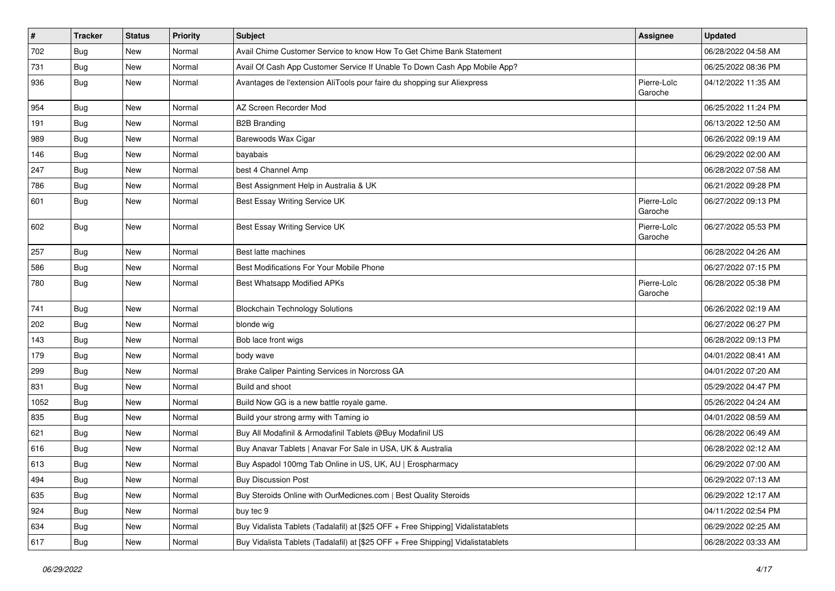| $\vert$ # | <b>Tracker</b> | <b>Status</b> | <b>Priority</b> | <b>Subject</b>                                                                   | <b>Assignee</b>        | <b>Updated</b>      |
|-----------|----------------|---------------|-----------------|----------------------------------------------------------------------------------|------------------------|---------------------|
| 702       | Bug            | New           | Normal          | Avail Chime Customer Service to know How To Get Chime Bank Statement             |                        | 06/28/2022 04:58 AM |
| 731       | Bug            | <b>New</b>    | Normal          | Avail Of Cash App Customer Service If Unable To Down Cash App Mobile App?        |                        | 06/25/2022 08:36 PM |
| 936       | Bug            | <b>New</b>    | Normal          | Avantages de l'extension AliTools pour faire du shopping sur Aliexpress          | Pierre-Loïc<br>Garoche | 04/12/2022 11:35 AM |
| 954       | Bug            | New           | Normal          | AZ Screen Recorder Mod                                                           |                        | 06/25/2022 11:24 PM |
| 191       | Bug            | New           | Normal          | <b>B2B Branding</b>                                                              |                        | 06/13/2022 12:50 AM |
| 989       | Bug            | New           | Normal          | Barewoods Wax Cigar                                                              |                        | 06/26/2022 09:19 AM |
| 146       | Bug            | <b>New</b>    | Normal          | bayabais                                                                         |                        | 06/29/2022 02:00 AM |
| 247       | <b>Bug</b>     | New           | Normal          | best 4 Channel Amp                                                               |                        | 06/28/2022 07:58 AM |
| 786       | Bug            | <b>New</b>    | Normal          | Best Assignment Help in Australia & UK                                           |                        | 06/21/2022 09:28 PM |
| 601       | Bug            | <b>New</b>    | Normal          | Best Essay Writing Service UK                                                    | Pierre-Loïc<br>Garoche | 06/27/2022 09:13 PM |
| 602       | Bug            | New           | Normal          | Best Essay Writing Service UK                                                    | Pierre-Loïc<br>Garoche | 06/27/2022 05:53 PM |
| 257       | Bug            | New           | Normal          | Best latte machines                                                              |                        | 06/28/2022 04:26 AM |
| 586       | Bug            | <b>New</b>    | Normal          | Best Modifications For Your Mobile Phone                                         |                        | 06/27/2022 07:15 PM |
| 780       | Bug            | New           | Normal          | Best Whatsapp Modified APKs                                                      | Pierre-Loïc<br>Garoche | 06/28/2022 05:38 PM |
| 741       | Bug            | <b>New</b>    | Normal          | <b>Blockchain Technology Solutions</b>                                           |                        | 06/26/2022 02:19 AM |
| 202       | Bug            | <b>New</b>    | Normal          | blonde wig                                                                       |                        | 06/27/2022 06:27 PM |
| 143       | Bug            | New           | Normal          | Bob lace front wigs                                                              |                        | 06/28/2022 09:13 PM |
| 179       | <b>Bug</b>     | New           | Normal          | body wave                                                                        |                        | 04/01/2022 08:41 AM |
| 299       | <b>Bug</b>     | New           | Normal          | Brake Caliper Painting Services in Norcross GA                                   |                        | 04/01/2022 07:20 AM |
| 831       | Bug            | <b>New</b>    | Normal          | Build and shoot                                                                  |                        | 05/29/2022 04:47 PM |
| 1052      | <b>Bug</b>     | New           | Normal          | Build Now GG is a new battle royale game.                                        |                        | 05/26/2022 04:24 AM |
| 835       | Bug            | New           | Normal          | Build your strong army with Taming io                                            |                        | 04/01/2022 08:59 AM |
| 621       | Bug            | New           | Normal          | Buy All Modafinil & Armodafinil Tablets @Buy Modafinil US                        |                        | 06/28/2022 06:49 AM |
| 616       | <b>Bug</b>     | New           | Normal          | Buy Anavar Tablets   Anavar For Sale in USA, UK & Australia                      |                        | 06/28/2022 02:12 AM |
| 613       | Bug            | <b>New</b>    | Normal          | Buy Aspadol 100mg Tab Online in US, UK, AU   Erospharmacy                        |                        | 06/29/2022 07:00 AM |
| 494       | <b>Bug</b>     | New           | Normal          | <b>Buy Discussion Post</b>                                                       |                        | 06/29/2022 07:13 AM |
| 635       | Bug            | New           | Normal          | Buy Steroids Online with OurMedicnes.com   Best Quality Steroids                 |                        | 06/29/2022 12:17 AM |
| 924       | Bug            | New           | Normal          | buy tec 9                                                                        |                        | 04/11/2022 02:54 PM |
| 634       | Bug            | New           | Normal          | Buy Vidalista Tablets (Tadalafil) at [\$25 OFF + Free Shipping] Vidalistatablets |                        | 06/29/2022 02:25 AM |
| 617       | Bug            | New           | Normal          | Buy Vidalista Tablets (Tadalafil) at [\$25 OFF + Free Shipping] Vidalistatablets |                        | 06/28/2022 03:33 AM |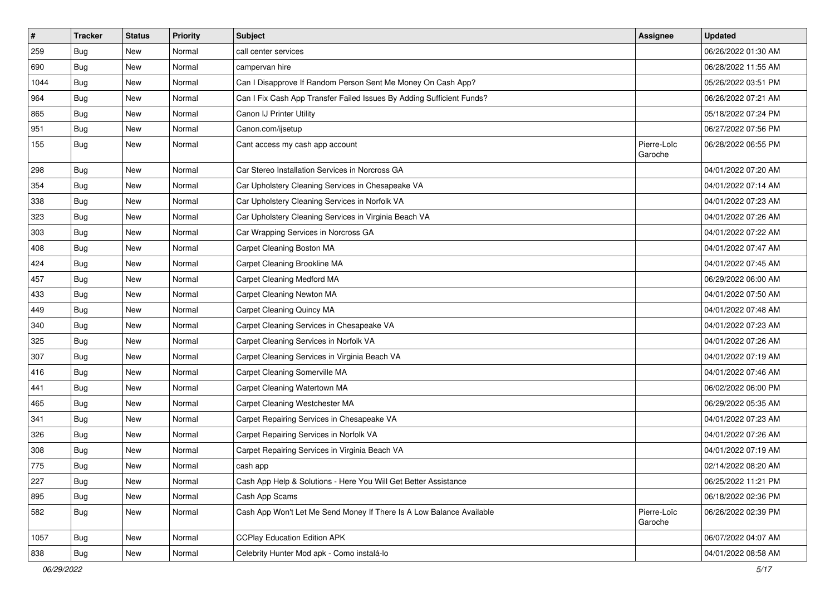| $\vert$ # | <b>Tracker</b> | <b>Status</b> | <b>Priority</b> | <b>Subject</b>                                                        | <b>Assignee</b>        | <b>Updated</b>      |
|-----------|----------------|---------------|-----------------|-----------------------------------------------------------------------|------------------------|---------------------|
| 259       | <b>Bug</b>     | New           | Normal          | call center services                                                  |                        | 06/26/2022 01:30 AM |
| 690       | Bug            | <b>New</b>    | Normal          | campervan hire                                                        |                        | 06/28/2022 11:55 AM |
| 1044      | Bug            | New           | Normal          | Can I Disapprove If Random Person Sent Me Money On Cash App?          |                        | 05/26/2022 03:51 PM |
| 964       | <b>Bug</b>     | New           | Normal          | Can I Fix Cash App Transfer Failed Issues By Adding Sufficient Funds? |                        | 06/26/2022 07:21 AM |
| 865       | Bug            | <b>New</b>    | Normal          | Canon IJ Printer Utility                                              |                        | 05/18/2022 07:24 PM |
| 951       | Bug            | New           | Normal          | Canon.com/ijsetup                                                     |                        | 06/27/2022 07:56 PM |
| 155       | Bug            | New           | Normal          | Cant access my cash app account                                       | Pierre-Loïc<br>Garoche | 06/28/2022 06:55 PM |
| 298       | Bug            | <b>New</b>    | Normal          | Car Stereo Installation Services in Norcross GA                       |                        | 04/01/2022 07:20 AM |
| 354       | Bug            | <b>New</b>    | Normal          | Car Upholstery Cleaning Services in Chesapeake VA                     |                        | 04/01/2022 07:14 AM |
| 338       | Bug            | New           | Normal          | Car Upholstery Cleaning Services in Norfolk VA                        |                        | 04/01/2022 07:23 AM |
| 323       | <b>Bug</b>     | New           | Normal          | Car Upholstery Cleaning Services in Virginia Beach VA                 |                        | 04/01/2022 07:26 AM |
| 303       | Bug            | <b>New</b>    | Normal          | Car Wrapping Services in Norcross GA                                  |                        | 04/01/2022 07:22 AM |
| 408       | Bug            | New           | Normal          | Carpet Cleaning Boston MA                                             |                        | 04/01/2022 07:47 AM |
| 424       | Bug            | New           | Normal          | Carpet Cleaning Brookline MA                                          |                        | 04/01/2022 07:45 AM |
| 457       | <b>Bug</b>     | New           | Normal          | Carpet Cleaning Medford MA                                            |                        | 06/29/2022 06:00 AM |
| 433       | <b>Bug</b>     | <b>New</b>    | Normal          | Carpet Cleaning Newton MA                                             |                        | 04/01/2022 07:50 AM |
| 449       | Bug            | <b>New</b>    | Normal          | <b>Carpet Cleaning Quincy MA</b>                                      |                        | 04/01/2022 07:48 AM |
| 340       | Bug            | New           | Normal          | Carpet Cleaning Services in Chesapeake VA                             |                        | 04/01/2022 07:23 AM |
| 325       | Bug            | <b>New</b>    | Normal          | Carpet Cleaning Services in Norfolk VA                                |                        | 04/01/2022 07:26 AM |
| 307       | Bug            | <b>New</b>    | Normal          | Carpet Cleaning Services in Virginia Beach VA                         |                        | 04/01/2022 07:19 AM |
| 416       | Bug            | <b>New</b>    | Normal          | Carpet Cleaning Somerville MA                                         |                        | 04/01/2022 07:46 AM |
| 441       | Bug            | <b>New</b>    | Normal          | Carpet Cleaning Watertown MA                                          |                        | 06/02/2022 06:00 PM |
| 465       | Bug            | New           | Normal          | Carpet Cleaning Westchester MA                                        |                        | 06/29/2022 05:35 AM |
| 341       | <b>Bug</b>     | New           | Normal          | Carpet Repairing Services in Chesapeake VA                            |                        | 04/01/2022 07:23 AM |
| 326       | Bug            | <b>New</b>    | Normal          | Carpet Repairing Services in Norfolk VA                               |                        | 04/01/2022 07:26 AM |
| 308       | <b>Bug</b>     | New           | Normal          | Carpet Repairing Services in Virginia Beach VA                        |                        | 04/01/2022 07:19 AM |
| 775       | Bug            | New           | Normal          | cash app                                                              |                        | 02/14/2022 08:20 AM |
| 227       | Bug            | New           | Normal          | Cash App Help & Solutions - Here You Will Get Better Assistance       |                        | 06/25/2022 11:21 PM |
| 895       | Bug            | New           | Normal          | Cash App Scams                                                        |                        | 06/18/2022 02:36 PM |
| 582       | <b>Bug</b>     | New           | Normal          | Cash App Won't Let Me Send Money If There Is A Low Balance Available  | Pierre-Loïc<br>Garoche | 06/26/2022 02:39 PM |
| 1057      | Bug            | New           | Normal          | <b>CCPlay Education Edition APK</b>                                   |                        | 06/07/2022 04:07 AM |
| 838       | <b>Bug</b>     | New           | Normal          | Celebrity Hunter Mod apk - Como instalá-lo                            |                        | 04/01/2022 08:58 AM |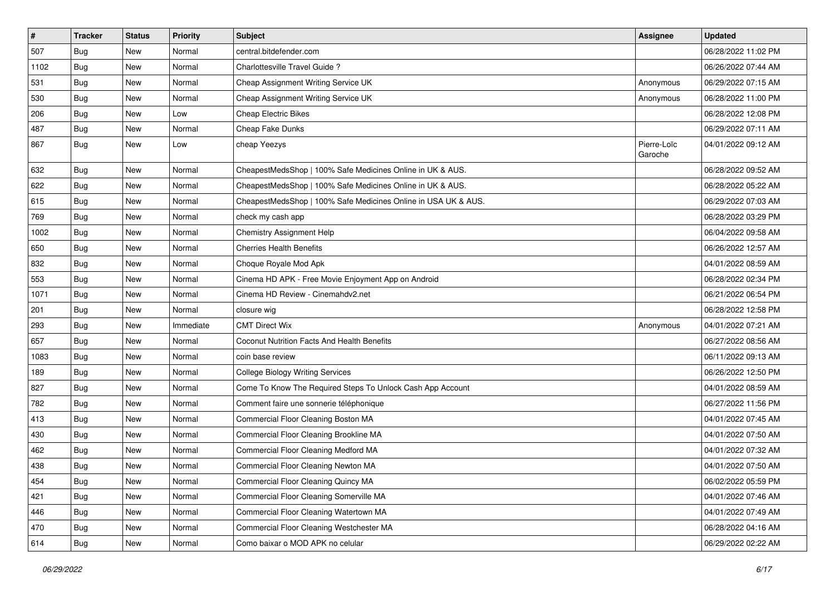| $\vert$ # | <b>Tracker</b> | <b>Status</b> | <b>Priority</b> | <b>Subject</b>                                                 | <b>Assignee</b>        | <b>Updated</b>      |
|-----------|----------------|---------------|-----------------|----------------------------------------------------------------|------------------------|---------------------|
| 507       | <b>Bug</b>     | New           | Normal          | central.bitdefender.com                                        |                        | 06/28/2022 11:02 PM |
| 1102      | Bug            | <b>New</b>    | Normal          | Charlottesville Travel Guide?                                  |                        | 06/26/2022 07:44 AM |
| 531       | Bug            | New           | Normal          | Cheap Assignment Writing Service UK                            | Anonymous              | 06/29/2022 07:15 AM |
| 530       | <b>Bug</b>     | New           | Normal          | Cheap Assignment Writing Service UK                            | Anonymous              | 06/28/2022 11:00 PM |
| 206       | Bug            | <b>New</b>    | Low             | <b>Cheap Electric Bikes</b>                                    |                        | 06/28/2022 12:08 PM |
| 487       | Bug            | New           | Normal          | Cheap Fake Dunks                                               |                        | 06/29/2022 07:11 AM |
| 867       | Bug            | New           | Low             | cheap Yeezys                                                   | Pierre-Loïc<br>Garoche | 04/01/2022 09:12 AM |
| 632       | Bug            | <b>New</b>    | Normal          | CheapestMedsShop   100% Safe Medicines Online in UK & AUS.     |                        | 06/28/2022 09:52 AM |
| 622       | Bug            | <b>New</b>    | Normal          | CheapestMedsShop   100% Safe Medicines Online in UK & AUS.     |                        | 06/28/2022 05:22 AM |
| 615       | Bug            | New           | Normal          | CheapestMedsShop   100% Safe Medicines Online in USA UK & AUS. |                        | 06/29/2022 07:03 AM |
| 769       | <b>Bug</b>     | New           | Normal          | check my cash app                                              |                        | 06/28/2022 03:29 PM |
| 1002      | Bug            | <b>New</b>    | Normal          | <b>Chemistry Assignment Help</b>                               |                        | 06/04/2022 09:58 AM |
| 650       | Bug            | New           | Normal          | <b>Cherries Health Benefits</b>                                |                        | 06/26/2022 12:57 AM |
| 832       | Bug            | <b>New</b>    | Normal          | Choque Royale Mod Apk                                          |                        | 04/01/2022 08:59 AM |
| 553       | Bug            | New           | Normal          | Cinema HD APK - Free Movie Enjoyment App on Android            |                        | 06/28/2022 02:34 PM |
| 1071      | Bug            | <b>New</b>    | Normal          | Cinema HD Review - Cinemahdv2.net                              |                        | 06/21/2022 06:54 PM |
| 201       | Bug            | <b>New</b>    | Normal          | closure wig                                                    |                        | 06/28/2022 12:58 PM |
| 293       | Bug            | New           | Immediate       | <b>CMT Direct Wix</b>                                          | Anonymous              | 04/01/2022 07:21 AM |
| 657       | Bug            | <b>New</b>    | Normal          | Coconut Nutrition Facts And Health Benefits                    |                        | 06/27/2022 08:56 AM |
| 1083      | Bug            | <b>New</b>    | Normal          | coin base review                                               |                        | 06/11/2022 09:13 AM |
| 189       | Bug            | <b>New</b>    | Normal          | <b>College Biology Writing Services</b>                        |                        | 06/26/2022 12:50 PM |
| 827       | Bug            | <b>New</b>    | Normal          | Come To Know The Required Steps To Unlock Cash App Account     |                        | 04/01/2022 08:59 AM |
| 782       | Bug            | New           | Normal          | Comment faire une sonnerie téléphonique                        |                        | 06/27/2022 11:56 PM |
| 413       | <b>Bug</b>     | New           | Normal          | Commercial Floor Cleaning Boston MA                            |                        | 04/01/2022 07:45 AM |
| 430       | Bug            | <b>New</b>    | Normal          | Commercial Floor Cleaning Brookline MA                         |                        | 04/01/2022 07:50 AM |
| 462       | <b>Bug</b>     | New           | Normal          | Commercial Floor Cleaning Medford MA                           |                        | 04/01/2022 07:32 AM |
| 438       | Bug            | New           | Normal          | Commercial Floor Cleaning Newton MA                            |                        | 04/01/2022 07:50 AM |
| 454       | <b>Bug</b>     | New           | Normal          | Commercial Floor Cleaning Quincy MA                            |                        | 06/02/2022 05:59 PM |
| 421       | <b>Bug</b>     | New           | Normal          | Commercial Floor Cleaning Somerville MA                        |                        | 04/01/2022 07:46 AM |
| 446       | <b>Bug</b>     | New           | Normal          | Commercial Floor Cleaning Watertown MA                         |                        | 04/01/2022 07:49 AM |
| 470       | <b>Bug</b>     | New           | Normal          | Commercial Floor Cleaning Westchester MA                       |                        | 06/28/2022 04:16 AM |
| 614       | <b>Bug</b>     | New           | Normal          | Como baixar o MOD APK no celular                               |                        | 06/29/2022 02:22 AM |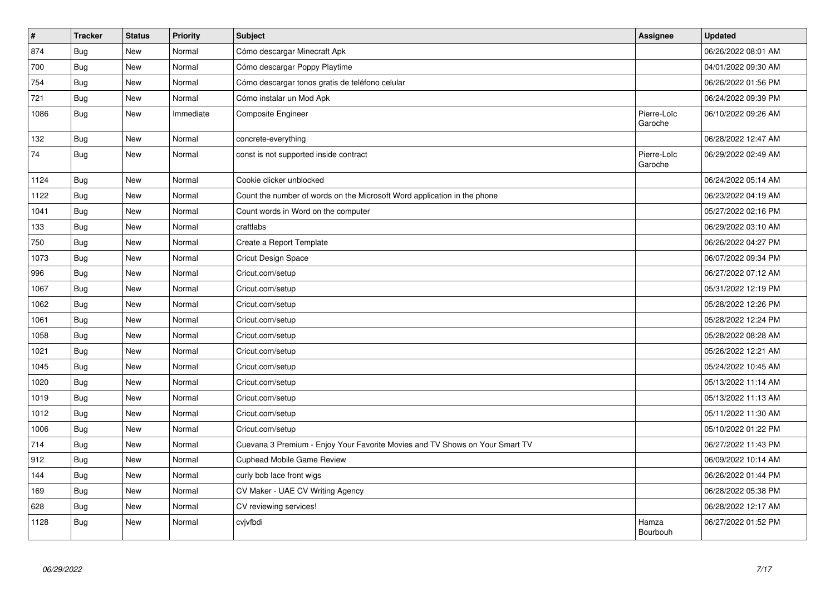| $\vert$ # | <b>Tracker</b> | <b>Status</b> | Priority  | <b>Subject</b>                                                               | <b>Assignee</b>        | <b>Updated</b>      |
|-----------|----------------|---------------|-----------|------------------------------------------------------------------------------|------------------------|---------------------|
| 874       | <b>Bug</b>     | <b>New</b>    | Normal    | Cómo descargar Minecraft Apk                                                 |                        | 06/26/2022 08:01 AM |
| 700       | Bug            | New           | Normal    | Cómo descargar Poppy Playtime                                                |                        | 04/01/2022 09:30 AM |
| 754       | Bug            | <b>New</b>    | Normal    | Cómo descargar tonos gratis de teléfono celular                              |                        | 06/26/2022 01:56 PM |
| 721       | <b>Bug</b>     | <b>New</b>    | Normal    | Cómo instalar un Mod Apk                                                     |                        | 06/24/2022 09:39 PM |
| 1086      | Bug            | <b>New</b>    | Immediate | Composite Engineer                                                           | Pierre-Loïc<br>Garoche | 06/10/2022 09:26 AM |
| 132       | Bug            | <b>New</b>    | Normal    | concrete-everything                                                          |                        | 06/28/2022 12:47 AM |
| 74        | Bug            | <b>New</b>    | Normal    | const is not supported inside contract                                       | Pierre-Loïc<br>Garoche | 06/29/2022 02:49 AM |
| 1124      | Bug            | New           | Normal    | Cookie clicker unblocked                                                     |                        | 06/24/2022 05:14 AM |
| 1122      | <b>Bug</b>     | <b>New</b>    | Normal    | Count the number of words on the Microsoft Word application in the phone     |                        | 06/23/2022 04:19 AM |
| 1041      | Bug            | New           | Normal    | Count words in Word on the computer                                          |                        | 05/27/2022 02:16 PM |
| 133       | Bug            | <b>New</b>    | Normal    | craftlabs                                                                    |                        | 06/29/2022 03:10 AM |
| 750       | Bug            | <b>New</b>    | Normal    | Create a Report Template                                                     |                        | 06/26/2022 04:27 PM |
| 1073      | Bug            | <b>New</b>    | Normal    | <b>Cricut Design Space</b>                                                   |                        | 06/07/2022 09:34 PM |
| 996       | Bug            | New           | Normal    | Cricut.com/setup                                                             |                        | 06/27/2022 07:12 AM |
| 1067      | Bug            | <b>New</b>    | Normal    | Cricut.com/setup                                                             |                        | 05/31/2022 12:19 PM |
| 1062      | Bug            | New           | Normal    | Cricut.com/setup                                                             |                        | 05/28/2022 12:26 PM |
| 1061      | Bug            | New           | Normal    | Cricut.com/setup                                                             |                        | 05/28/2022 12:24 PM |
| 1058      | <b>Bug</b>     | <b>New</b>    | Normal    | Cricut.com/setup                                                             |                        | 05/28/2022 08:28 AM |
| 1021      | Bug            | <b>New</b>    | Normal    | Cricut.com/setup                                                             |                        | 05/26/2022 12:21 AM |
| 1045      | <b>Bug</b>     | <b>New</b>    | Normal    | Cricut.com/setup                                                             |                        | 05/24/2022 10:45 AM |
| 1020      | Bug            | New           | Normal    | Cricut.com/setup                                                             |                        | 05/13/2022 11:14 AM |
| 1019      | Bug            | <b>New</b>    | Normal    | Cricut.com/setup                                                             |                        | 05/13/2022 11:13 AM |
| 1012      | Bug            | New           | Normal    | Cricut.com/setup                                                             |                        | 05/11/2022 11:30 AM |
| 1006      | Bug            | <b>New</b>    | Normal    | Cricut.com/setup                                                             |                        | 05/10/2022 01:22 PM |
| 714       | Bug            | New           | Normal    | Cuevana 3 Premium - Enjoy Your Favorite Movies and TV Shows on Your Smart TV |                        | 06/27/2022 11:43 PM |
| 912       | <b>Bug</b>     | <b>New</b>    | Normal    | <b>Cuphead Mobile Game Review</b>                                            |                        | 06/09/2022 10:14 AM |
| 144       | Bug            | New           | Normal    | curly bob lace front wigs                                                    |                        | 06/26/2022 01:44 PM |
| 169       | <b>Bug</b>     | New           | Normal    | CV Maker - UAE CV Writing Agency                                             |                        | 06/28/2022 05:38 PM |
| 628       | Bug            | New           | Normal    | CV reviewing services!                                                       |                        | 06/28/2022 12:17 AM |
| 1128      | Bug            | New           | Normal    | cvjvfbdi                                                                     | Hamza<br>Bourbouh      | 06/27/2022 01:52 PM |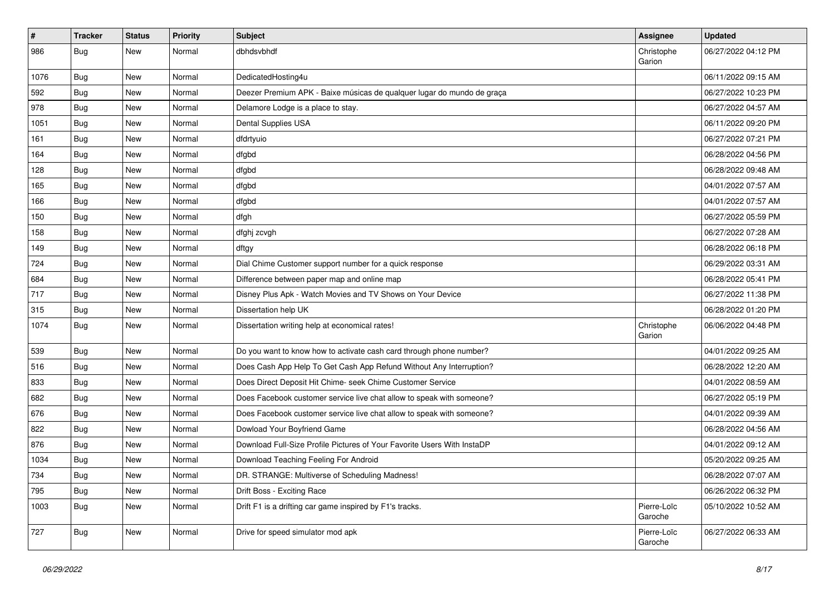| #    | Tracker    | <b>Status</b> | <b>Priority</b> | <b>Subject</b>                                                          | <b>Assignee</b>        | <b>Updated</b>      |
|------|------------|---------------|-----------------|-------------------------------------------------------------------------|------------------------|---------------------|
| 986  | <b>Bug</b> | New           | Normal          | dbhdsvbhdf                                                              | Christophe<br>Garion   | 06/27/2022 04:12 PM |
| 1076 | Bug        | New           | Normal          | DedicatedHosting4u                                                      |                        | 06/11/2022 09:15 AM |
| 592  | Bug        | New           | Normal          | Deezer Premium APK - Baixe músicas de qualquer lugar do mundo de graça  |                        | 06/27/2022 10:23 PM |
| 978  | Bug        | New           | Normal          | Delamore Lodge is a place to stay.                                      |                        | 06/27/2022 04:57 AM |
| 1051 | Bug        | New           | Normal          | Dental Supplies USA                                                     |                        | 06/11/2022 09:20 PM |
| 161  | Bug        | New           | Normal          | dfdrtyuio                                                               |                        | 06/27/2022 07:21 PM |
| 164  | Bug        | New           | Normal          | dfgbd                                                                   |                        | 06/28/2022 04:56 PM |
| 128  | <b>Bug</b> | New           | Normal          | dfgbd                                                                   |                        | 06/28/2022 09:48 AM |
| 165  | Bug        | <b>New</b>    | Normal          | dfgbd                                                                   |                        | 04/01/2022 07:57 AM |
| 166  | <b>Bug</b> | New           | Normal          | dfgbd                                                                   |                        | 04/01/2022 07:57 AM |
| 150  | Bug        | New           | Normal          | dfgh                                                                    |                        | 06/27/2022 05:59 PM |
| 158  | Bug        | New           | Normal          | dfghj zcvgh                                                             |                        | 06/27/2022 07:28 AM |
| 149  | <b>Bug</b> | New           | Normal          | dftgy                                                                   |                        | 06/28/2022 06:18 PM |
| 724  | Bug        | <b>New</b>    | Normal          | Dial Chime Customer support number for a quick response                 |                        | 06/29/2022 03:31 AM |
| 684  | Bug        | New           | Normal          | Difference between paper map and online map                             |                        | 06/28/2022 05:41 PM |
| 717  | Bug        | New           | Normal          | Disney Plus Apk - Watch Movies and TV Shows on Your Device              |                        | 06/27/2022 11:38 PM |
| 315  | Bug        | New           | Normal          | Dissertation help UK                                                    |                        | 06/28/2022 01:20 PM |
| 1074 | Bug        | New           | Normal          | Dissertation writing help at economical rates!                          | Christophe<br>Garion   | 06/06/2022 04:48 PM |
| 539  | Bug        | New           | Normal          | Do you want to know how to activate cash card through phone number?     |                        | 04/01/2022 09:25 AM |
| 516  | Bug        | New           | Normal          | Does Cash App Help To Get Cash App Refund Without Any Interruption?     |                        | 06/28/2022 12:20 AM |
| 833  | Bug        | <b>New</b>    | Normal          | Does Direct Deposit Hit Chime- seek Chime Customer Service              |                        | 04/01/2022 08:59 AM |
| 682  | <b>Bug</b> | New           | Normal          | Does Facebook customer service live chat allow to speak with someone?   |                        | 06/27/2022 05:19 PM |
| 676  | Bug        | New           | Normal          | Does Facebook customer service live chat allow to speak with someone?   |                        | 04/01/2022 09:39 AM |
| 822  | Bug        | New           | Normal          | Dowload Your Boyfriend Game                                             |                        | 06/28/2022 04:56 AM |
| 876  | <b>Bug</b> | New           | Normal          | Download Full-Size Profile Pictures of Your Favorite Users With InstaDP |                        | 04/01/2022 09:12 AM |
| 1034 | <b>Bug</b> | New           | Normal          | Download Teaching Feeling For Android                                   |                        | 05/20/2022 09:25 AM |
| 734  | <b>Bug</b> | New           | Normal          | DR. STRANGE: Multiverse of Scheduling Madness!                          |                        | 06/28/2022 07:07 AM |
| 795  | Bug        | New           | Normal          | Drift Boss - Exciting Race                                              |                        | 06/26/2022 06:32 PM |
| 1003 | Bug        | New           | Normal          | Drift F1 is a drifting car game inspired by F1's tracks.                | Pierre-Loïc<br>Garoche | 05/10/2022 10:52 AM |
| 727  | <b>Bug</b> | New           | Normal          | Drive for speed simulator mod apk                                       | Pierre-Loïc<br>Garoche | 06/27/2022 06:33 AM |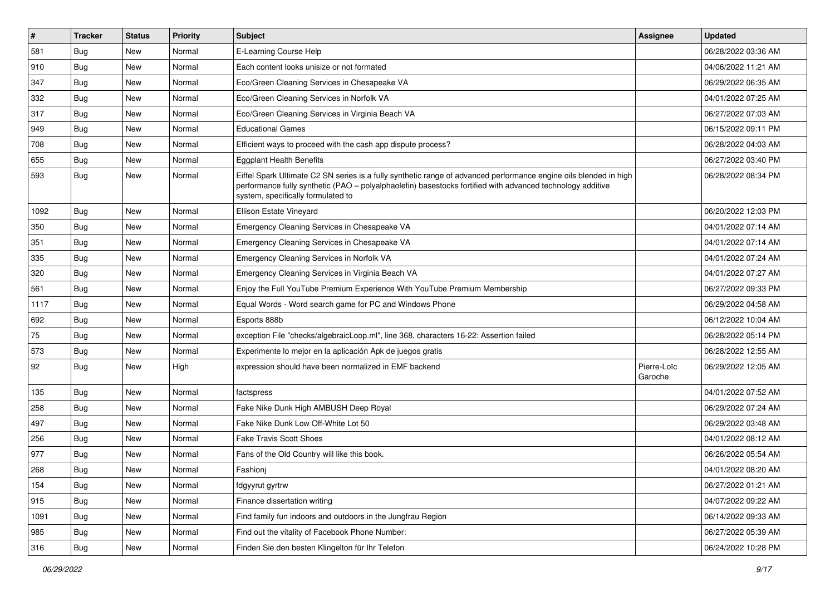| $\sharp$ | <b>Tracker</b> | <b>Status</b> | <b>Priority</b> | Subject                                                                                                                                                                                                                                                               | <b>Assignee</b>        | <b>Updated</b>      |
|----------|----------------|---------------|-----------------|-----------------------------------------------------------------------------------------------------------------------------------------------------------------------------------------------------------------------------------------------------------------------|------------------------|---------------------|
| 581      | Bug            | New           | Normal          | E-Learning Course Help                                                                                                                                                                                                                                                |                        | 06/28/2022 03:36 AM |
| 910      | Bug            | <b>New</b>    | Normal          | Each content looks unisize or not formated                                                                                                                                                                                                                            |                        | 04/06/2022 11:21 AM |
| 347      | <b>Bug</b>     | <b>New</b>    | Normal          | Eco/Green Cleaning Services in Chesapeake VA                                                                                                                                                                                                                          |                        | 06/29/2022 06:35 AM |
| 332      | <b>Bug</b>     | <b>New</b>    | Normal          | Eco/Green Cleaning Services in Norfolk VA                                                                                                                                                                                                                             |                        | 04/01/2022 07:25 AM |
| 317      | Bug            | <b>New</b>    | Normal          | Eco/Green Cleaning Services in Virginia Beach VA                                                                                                                                                                                                                      |                        | 06/27/2022 07:03 AM |
| 949      | <b>Bug</b>     | <b>New</b>    | Normal          | <b>Educational Games</b>                                                                                                                                                                                                                                              |                        | 06/15/2022 09:11 PM |
| 708      | Bug            | <b>New</b>    | Normal          | Efficient ways to proceed with the cash app dispute process?                                                                                                                                                                                                          |                        | 06/28/2022 04:03 AM |
| 655      | Bug            | <b>New</b>    | Normal          | <b>Eggplant Health Benefits</b>                                                                                                                                                                                                                                       |                        | 06/27/2022 03:40 PM |
| 593      | Bug            | <b>New</b>    | Normal          | Eiffel Spark Ultimate C2 SN series is a fully synthetic range of advanced performance engine oils blended in high<br>performance fully synthetic (PAO – polyalphaolefin) basestocks fortified with advanced technology additive<br>system, specifically formulated to |                        | 06/28/2022 08:34 PM |
| 1092     | Bug            | <b>New</b>    | Normal          | Ellison Estate Vineyard                                                                                                                                                                                                                                               |                        | 06/20/2022 12:03 PM |
| 350      | Bug            | <b>New</b>    | Normal          | Emergency Cleaning Services in Chesapeake VA                                                                                                                                                                                                                          |                        | 04/01/2022 07:14 AM |
| 351      | <b>Bug</b>     | <b>New</b>    | Normal          | Emergency Cleaning Services in Chesapeake VA                                                                                                                                                                                                                          |                        | 04/01/2022 07:14 AM |
| 335      | Bug            | <b>New</b>    | Normal          | Emergency Cleaning Services in Norfolk VA                                                                                                                                                                                                                             |                        | 04/01/2022 07:24 AM |
| 320      | <b>Bug</b>     | <b>New</b>    | Normal          | Emergency Cleaning Services in Virginia Beach VA                                                                                                                                                                                                                      |                        | 04/01/2022 07:27 AM |
| 561      | Bug            | <b>New</b>    | Normal          | Enjoy the Full YouTube Premium Experience With YouTube Premium Membership                                                                                                                                                                                             |                        | 06/27/2022 09:33 PM |
| 1117     | Bug            | <b>New</b>    | Normal          | Equal Words - Word search game for PC and Windows Phone                                                                                                                                                                                                               |                        | 06/29/2022 04:58 AM |
| 692      | Bug            | <b>New</b>    | Normal          | Esports 888b                                                                                                                                                                                                                                                          |                        | 06/12/2022 10:04 AM |
| 75       | Bug            | <b>New</b>    | Normal          | exception File "checks/algebraicLoop.ml", line 368, characters 16-22: Assertion failed                                                                                                                                                                                |                        | 06/28/2022 05:14 PM |
| 573      | Bug            | <b>New</b>    | Normal          | Experimente lo mejor en la aplicación Apk de juegos gratis                                                                                                                                                                                                            |                        | 06/28/2022 12:55 AM |
| 92       | Bug            | <b>New</b>    | High            | expression should have been normalized in EMF backend                                                                                                                                                                                                                 | Pierre-Loïc<br>Garoche | 06/29/2022 12:05 AM |
| 135      | Bug            | New           | Normal          | factspress                                                                                                                                                                                                                                                            |                        | 04/01/2022 07:52 AM |
| 258      | Bug            | <b>New</b>    | Normal          | Fake Nike Dunk High AMBUSH Deep Royal                                                                                                                                                                                                                                 |                        | 06/29/2022 07:24 AM |
| 497      | Bug            | <b>New</b>    | Normal          | Fake Nike Dunk Low Off-White Lot 50                                                                                                                                                                                                                                   |                        | 06/29/2022 03:48 AM |
| 256      | <b>Bug</b>     | <b>New</b>    | Normal          | <b>Fake Travis Scott Shoes</b>                                                                                                                                                                                                                                        |                        | 04/01/2022 08:12 AM |
| 977      | Bug            | <b>New</b>    | Normal          | Fans of the Old Country will like this book.                                                                                                                                                                                                                          |                        | 06/26/2022 05:54 AM |
| 268      | Bug            | New           | Normal          | Fashionj                                                                                                                                                                                                                                                              |                        | 04/01/2022 08:20 AM |
| 154      | Bug            | New           | Normal          | fdgyyrut gyrtrw                                                                                                                                                                                                                                                       |                        | 06/27/2022 01:21 AM |
| 915      | Bug            | New           | Normal          | Finance dissertation writing                                                                                                                                                                                                                                          |                        | 04/07/2022 09:22 AM |
| 1091     | Bug            | New           | Normal          | Find family fun indoors and outdoors in the Jungfrau Region                                                                                                                                                                                                           |                        | 06/14/2022 09:33 AM |
| 985      | Bug            | New           | Normal          | Find out the vitality of Facebook Phone Number:                                                                                                                                                                                                                       |                        | 06/27/2022 05:39 AM |
| 316      | <b>Bug</b>     | New           | Normal          | Finden Sie den besten Klingelton für Ihr Telefon                                                                                                                                                                                                                      |                        | 06/24/2022 10:28 PM |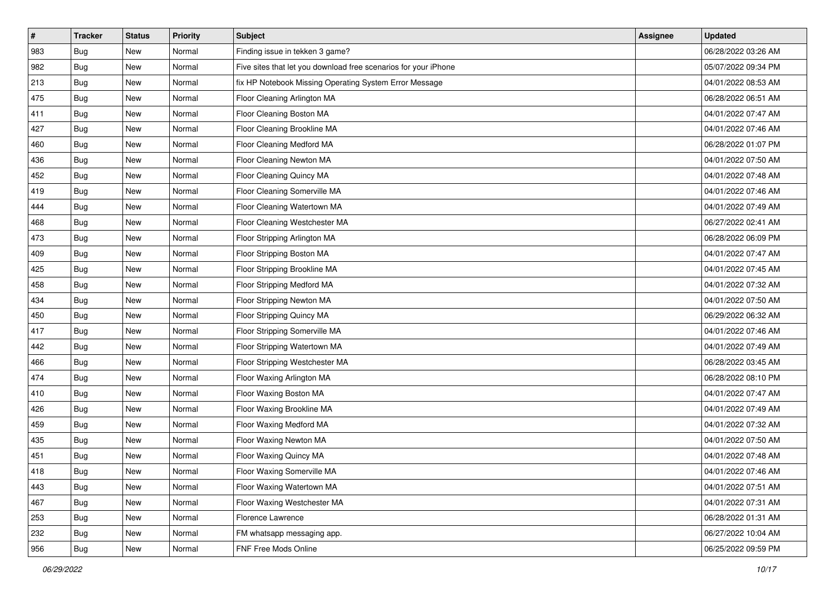| $\sharp$ | <b>Tracker</b> | <b>Status</b> | <b>Priority</b> | <b>Subject</b>                                                  | <b>Assignee</b> | <b>Updated</b>      |
|----------|----------------|---------------|-----------------|-----------------------------------------------------------------|-----------------|---------------------|
| 983      | Bug            | New           | Normal          | Finding issue in tekken 3 game?                                 |                 | 06/28/2022 03:26 AM |
| 982      | Bug            | New           | Normal          | Five sites that let you download free scenarios for your iPhone |                 | 05/07/2022 09:34 PM |
| 213      | <b>Bug</b>     | New           | Normal          | fix HP Notebook Missing Operating System Error Message          |                 | 04/01/2022 08:53 AM |
| 475      | Bug            | <b>New</b>    | Normal          | Floor Cleaning Arlington MA                                     |                 | 06/28/2022 06:51 AM |
| 411      | Bug            | <b>New</b>    | Normal          | Floor Cleaning Boston MA                                        |                 | 04/01/2022 07:47 AM |
| 427      | <b>Bug</b>     | New           | Normal          | Floor Cleaning Brookline MA                                     |                 | 04/01/2022 07:46 AM |
| 460      | Bug            | New           | Normal          | Floor Cleaning Medford MA                                       |                 | 06/28/2022 01:07 PM |
| 436      | Bug            | New           | Normal          | Floor Cleaning Newton MA                                        |                 | 04/01/2022 07:50 AM |
| 452      | <b>Bug</b>     | New           | Normal          | Floor Cleaning Quincy MA                                        |                 | 04/01/2022 07:48 AM |
| 419      | Bug            | <b>New</b>    | Normal          | Floor Cleaning Somerville MA                                    |                 | 04/01/2022 07:46 AM |
| 444      | Bug            | New           | Normal          | Floor Cleaning Watertown MA                                     |                 | 04/01/2022 07:49 AM |
| 468      | Bug            | New           | Normal          | Floor Cleaning Westchester MA                                   |                 | 06/27/2022 02:41 AM |
| 473      | Bug            | <b>New</b>    | Normal          | Floor Stripping Arlington MA                                    |                 | 06/28/2022 06:09 PM |
| 409      | Bug            | New           | Normal          | Floor Stripping Boston MA                                       |                 | 04/01/2022 07:47 AM |
| 425      | Bug            | <b>New</b>    | Normal          | Floor Stripping Brookline MA                                    |                 | 04/01/2022 07:45 AM |
| 458      | Bug            | New           | Normal          | Floor Stripping Medford MA                                      |                 | 04/01/2022 07:32 AM |
| 434      | Bug            | <b>New</b>    | Normal          | Floor Stripping Newton MA                                       |                 | 04/01/2022 07:50 AM |
| 450      | Bug            | <b>New</b>    | Normal          | Floor Stripping Quincy MA                                       |                 | 06/29/2022 06:32 AM |
| 417      | Bug            | New           | Normal          | Floor Stripping Somerville MA                                   |                 | 04/01/2022 07:46 AM |
| 442      | Bug            | New           | Normal          | Floor Stripping Watertown MA                                    |                 | 04/01/2022 07:49 AM |
| 466      | Bug            | New           | Normal          | Floor Stripping Westchester MA                                  |                 | 06/28/2022 03:45 AM |
| 474      | Bug            | <b>New</b>    | Normal          | Floor Waxing Arlington MA                                       |                 | 06/28/2022 08:10 PM |
| 410      | Bug            | <b>New</b>    | Normal          | Floor Waxing Boston MA                                          |                 | 04/01/2022 07:47 AM |
| 426      | Bug            | New           | Normal          | Floor Waxing Brookline MA                                       |                 | 04/01/2022 07:49 AM |
| 459      | Bug            | New           | Normal          | Floor Waxing Medford MA                                         |                 | 04/01/2022 07:32 AM |
| 435      | <b>Bug</b>     | <b>New</b>    | Normal          | Floor Waxing Newton MA                                          |                 | 04/01/2022 07:50 AM |
| 451      | Bug            | New           | Normal          | Floor Waxing Quincy MA                                          |                 | 04/01/2022 07:48 AM |
| 418      | <b>Bug</b>     | New           | Normal          | Floor Waxing Somerville MA                                      |                 | 04/01/2022 07:46 AM |
| 443      | Bug            | New           | Normal          | Floor Waxing Watertown MA                                       |                 | 04/01/2022 07:51 AM |
| 467      | Bug            | New           | Normal          | Floor Waxing Westchester MA                                     |                 | 04/01/2022 07:31 AM |
| 253      | Bug            | New           | Normal          | Florence Lawrence                                               |                 | 06/28/2022 01:31 AM |
| 232      | Bug            | New           | Normal          | FM whatsapp messaging app.                                      |                 | 06/27/2022 10:04 AM |
| 956      | <b>Bug</b>     | New           | Normal          | FNF Free Mods Online                                            |                 | 06/25/2022 09:59 PM |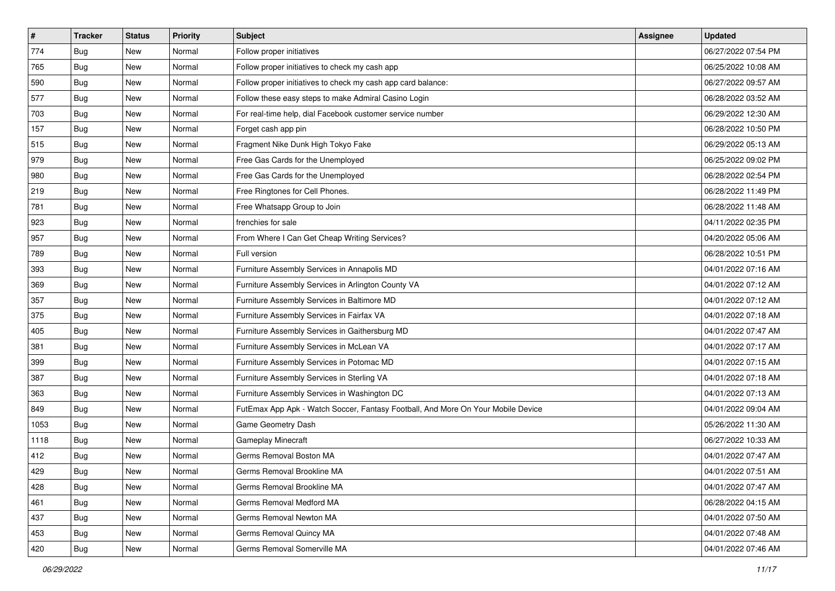| $\sharp$ | <b>Tracker</b> | <b>Status</b> | <b>Priority</b> | Subject                                                                          | <b>Assignee</b> | <b>Updated</b>      |
|----------|----------------|---------------|-----------------|----------------------------------------------------------------------------------|-----------------|---------------------|
| 774      | Bug            | New           | Normal          | Follow proper initiatives                                                        |                 | 06/27/2022 07:54 PM |
| 765      | Bug            | New           | Normal          | Follow proper initiatives to check my cash app                                   |                 | 06/25/2022 10:08 AM |
| 590      | <b>Bug</b>     | New           | Normal          | Follow proper initiatives to check my cash app card balance:                     |                 | 06/27/2022 09:57 AM |
| 577      | Bug            | <b>New</b>    | Normal          | Follow these easy steps to make Admiral Casino Login                             |                 | 06/28/2022 03:52 AM |
| 703      | Bug            | <b>New</b>    | Normal          | For real-time help, dial Facebook customer service number                        |                 | 06/29/2022 12:30 AM |
| 157      | <b>Bug</b>     | New           | Normal          | Forget cash app pin                                                              |                 | 06/28/2022 10:50 PM |
| 515      | Bug            | New           | Normal          | Fragment Nike Dunk High Tokyo Fake                                               |                 | 06/29/2022 05:13 AM |
| 979      | Bug            | New           | Normal          | Free Gas Cards for the Unemployed                                                |                 | 06/25/2022 09:02 PM |
| 980      | <b>Bug</b>     | New           | Normal          | Free Gas Cards for the Unemployed                                                |                 | 06/28/2022 02:54 PM |
| 219      | Bug            | <b>New</b>    | Normal          | Free Ringtones for Cell Phones.                                                  |                 | 06/28/2022 11:49 PM |
| 781      | Bug            | New           | Normal          | Free Whatsapp Group to Join                                                      |                 | 06/28/2022 11:48 AM |
| 923      | <b>Bug</b>     | New           | Normal          | frenchies for sale                                                               |                 | 04/11/2022 02:35 PM |
| 957      | Bug            | <b>New</b>    | Normal          | From Where I Can Get Cheap Writing Services?                                     |                 | 04/20/2022 05:06 AM |
| 789      | <b>Bug</b>     | New           | Normal          | Full version                                                                     |                 | 06/28/2022 10:51 PM |
| 393      | Bug            | <b>New</b>    | Normal          | Furniture Assembly Services in Annapolis MD                                      |                 | 04/01/2022 07:16 AM |
| 369      | <b>Bug</b>     | New           | Normal          | Furniture Assembly Services in Arlington County VA                               |                 | 04/01/2022 07:12 AM |
| 357      | Bug            | <b>New</b>    | Normal          | Furniture Assembly Services in Baltimore MD                                      |                 | 04/01/2022 07:12 AM |
| 375      | Bug            | <b>New</b>    | Normal          | Furniture Assembly Services in Fairfax VA                                        |                 | 04/01/2022 07:18 AM |
| 405      | <b>Bug</b>     | New           | Normal          | Furniture Assembly Services in Gaithersburg MD                                   |                 | 04/01/2022 07:47 AM |
| 381      | Bug            | <b>New</b>    | Normal          | Furniture Assembly Services in McLean VA                                         |                 | 04/01/2022 07:17 AM |
| 399      | <b>Bug</b>     | New           | Normal          | Furniture Assembly Services in Potomac MD                                        |                 | 04/01/2022 07:15 AM |
| 387      | <b>Bug</b>     | <b>New</b>    | Normal          | Furniture Assembly Services in Sterling VA                                       |                 | 04/01/2022 07:18 AM |
| 363      | Bug            | <b>New</b>    | Normal          | Furniture Assembly Services in Washington DC                                     |                 | 04/01/2022 07:13 AM |
| 849      | Bug            | New           | Normal          | FutEmax App Apk - Watch Soccer, Fantasy Football, And More On Your Mobile Device |                 | 04/01/2022 09:04 AM |
| 1053     | Bug            | New           | Normal          | Game Geometry Dash                                                               |                 | 05/26/2022 11:30 AM |
| 1118     | <b>Bug</b>     | <b>New</b>    | Normal          | Gameplay Minecraft                                                               |                 | 06/27/2022 10:33 AM |
| 412      | <b>Bug</b>     | New           | Normal          | Germs Removal Boston MA                                                          |                 | 04/01/2022 07:47 AM |
| 429      | <b>Bug</b>     | New           | Normal          | Germs Removal Brookline MA                                                       |                 | 04/01/2022 07:51 AM |
| 428      | Bug            | New           | Normal          | Germs Removal Brookline MA                                                       |                 | 04/01/2022 07:47 AM |
| 461      | Bug            | New           | Normal          | Germs Removal Medford MA                                                         |                 | 06/28/2022 04:15 AM |
| 437      | Bug            | New           | Normal          | Germs Removal Newton MA                                                          |                 | 04/01/2022 07:50 AM |
| 453      | <b>Bug</b>     | New           | Normal          | Germs Removal Quincy MA                                                          |                 | 04/01/2022 07:48 AM |
| 420      | <b>Bug</b>     | New           | Normal          | Germs Removal Somerville MA                                                      |                 | 04/01/2022 07:46 AM |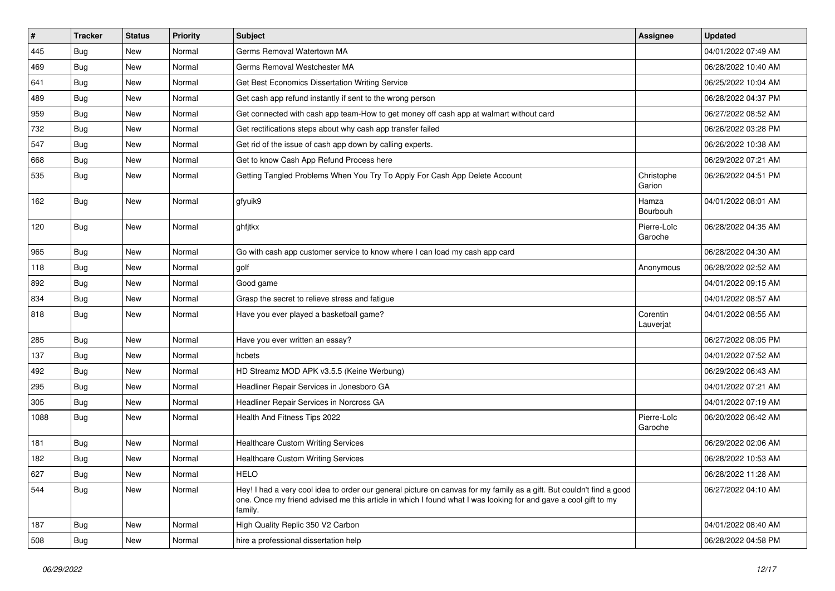| $\vert$ # | <b>Tracker</b> | <b>Status</b> | <b>Priority</b> | Subject                                                                                                                                                                                                                                           | <b>Assignee</b>        | <b>Updated</b>      |
|-----------|----------------|---------------|-----------------|---------------------------------------------------------------------------------------------------------------------------------------------------------------------------------------------------------------------------------------------------|------------------------|---------------------|
| 445       | <b>Bug</b>     | New           | Normal          | Germs Removal Watertown MA                                                                                                                                                                                                                        |                        | 04/01/2022 07:49 AM |
| 469       | Bug            | <b>New</b>    | Normal          | Germs Removal Westchester MA                                                                                                                                                                                                                      |                        | 06/28/2022 10:40 AM |
| 641       | Bug            | New           | Normal          | Get Best Economics Dissertation Writing Service                                                                                                                                                                                                   |                        | 06/25/2022 10:04 AM |
| 489       | Bug            | New           | Normal          | Get cash app refund instantly if sent to the wrong person                                                                                                                                                                                         |                        | 06/28/2022 04:37 PM |
| 959       | Bug            | <b>New</b>    | Normal          | Get connected with cash app team-How to get money off cash app at walmart without card                                                                                                                                                            |                        | 06/27/2022 08:52 AM |
| 732       | <b>Bug</b>     | New           | Normal          | Get rectifications steps about why cash app transfer failed                                                                                                                                                                                       |                        | 06/26/2022 03:28 PM |
| 547       | Bug            | New           | Normal          | Get rid of the issue of cash app down by calling experts.                                                                                                                                                                                         |                        | 06/26/2022 10:38 AM |
| 668       | Bug            | New           | Normal          | Get to know Cash App Refund Process here                                                                                                                                                                                                          |                        | 06/29/2022 07:21 AM |
| 535       | Bug            | New           | Normal          | Getting Tangled Problems When You Try To Apply For Cash App Delete Account                                                                                                                                                                        | Christophe<br>Garion   | 06/26/2022 04:51 PM |
| 162       | Bug            | <b>New</b>    | Normal          | gfyuik9                                                                                                                                                                                                                                           | Hamza<br>Bourbouh      | 04/01/2022 08:01 AM |
| 120       | Bug            | New           | Normal          | ghfjtkx                                                                                                                                                                                                                                           | Pierre-Loïc<br>Garoche | 06/28/2022 04:35 AM |
| 965       | Bug            | <b>New</b>    | Normal          | Go with cash app customer service to know where I can load my cash app card                                                                                                                                                                       |                        | 06/28/2022 04:30 AM |
| 118       | Bug            | <b>New</b>    | Normal          | golf                                                                                                                                                                                                                                              | Anonymous              | 06/28/2022 02:52 AM |
| 892       | Bug            | New           | Normal          | Good game                                                                                                                                                                                                                                         |                        | 04/01/2022 09:15 AM |
| 834       | Bug            | <b>New</b>    | Normal          | Grasp the secret to relieve stress and fatigue                                                                                                                                                                                                    |                        | 04/01/2022 08:57 AM |
| 818       | Bug            | New           | Normal          | Have you ever played a basketball game?                                                                                                                                                                                                           | Corentin<br>Lauverjat  | 04/01/2022 08:55 AM |
| 285       | Bug            | <b>New</b>    | Normal          | Have you ever written an essay?                                                                                                                                                                                                                   |                        | 06/27/2022 08:05 PM |
| 137       | <b>Bug</b>     | New           | Normal          | hcbets                                                                                                                                                                                                                                            |                        | 04/01/2022 07:52 AM |
| 492       | Bug            | <b>New</b>    | Normal          | HD Streamz MOD APK v3.5.5 (Keine Werbung)                                                                                                                                                                                                         |                        | 06/29/2022 06:43 AM |
| 295       | <b>Bug</b>     | New           | Normal          | Headliner Repair Services in Jonesboro GA                                                                                                                                                                                                         |                        | 04/01/2022 07:21 AM |
| 305       | Bug            | New           | Normal          | Headliner Repair Services in Norcross GA                                                                                                                                                                                                          |                        | 04/01/2022 07:19 AM |
| 1088      | Bug            | <b>New</b>    | Normal          | Health And Fitness Tips 2022                                                                                                                                                                                                                      | Pierre-Loïc<br>Garoche | 06/20/2022 06:42 AM |
| 181       | Bug            | <b>New</b>    | Normal          | <b>Healthcare Custom Writing Services</b>                                                                                                                                                                                                         |                        | 06/29/2022 02:06 AM |
| 182       | Bug            | <b>New</b>    | Normal          | <b>Healthcare Custom Writing Services</b>                                                                                                                                                                                                         |                        | 06/28/2022 10:53 AM |
| 627       | Bug            | New           | Normal          | <b>HELO</b>                                                                                                                                                                                                                                       |                        | 06/28/2022 11:28 AM |
| 544       | Bug            | New           | Normal          | Hey! I had a very cool idea to order our general picture on canvas for my family as a gift. But couldn't find a good<br>one. Once my friend advised me this article in which I found what I was looking for and gave a cool gift to my<br>family. |                        | 06/27/2022 04:10 AM |
| 187       | <b>Bug</b>     | New           | Normal          | High Quality Replic 350 V2 Carbon                                                                                                                                                                                                                 |                        | 04/01/2022 08:40 AM |
| 508       | <b>Bug</b>     | New           | Normal          | hire a professional dissertation help                                                                                                                                                                                                             |                        | 06/28/2022 04:58 PM |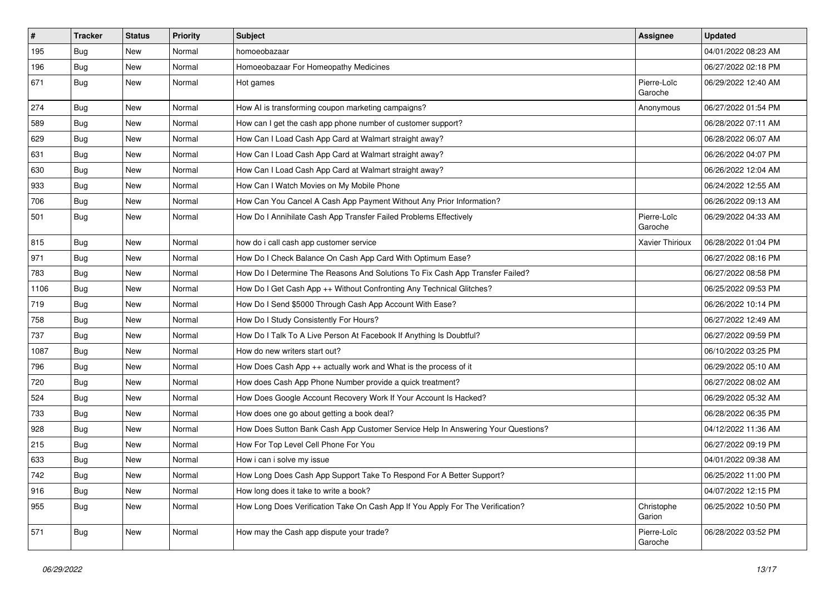| $\pmb{\#}$ | Tracker    | <b>Status</b> | <b>Priority</b> | <b>Subject</b>                                                                   | <b>Assignee</b>        | <b>Updated</b>      |
|------------|------------|---------------|-----------------|----------------------------------------------------------------------------------|------------------------|---------------------|
| 195        | Bug        | New           | Normal          | homoeobazaar                                                                     |                        | 04/01/2022 08:23 AM |
| 196        | Bug        | New           | Normal          | Homoeobazaar For Homeopathy Medicines                                            |                        | 06/27/2022 02:18 PM |
| 671        | Bug        | <b>New</b>    | Normal          | Hot games                                                                        | Pierre-Loïc<br>Garoche | 06/29/2022 12:40 AM |
| 274        | Bug        | New           | Normal          | How AI is transforming coupon marketing campaigns?                               | Anonymous              | 06/27/2022 01:54 PM |
| 589        | <b>Bug</b> | New           | Normal          | How can I get the cash app phone number of customer support?                     |                        | 06/28/2022 07:11 AM |
| 629        | Bug        | <b>New</b>    | Normal          | How Can I Load Cash App Card at Walmart straight away?                           |                        | 06/28/2022 06:07 AM |
| 631        | Bug        | New           | Normal          | How Can I Load Cash App Card at Walmart straight away?                           |                        | 06/26/2022 04:07 PM |
| 630        | Bug        | New           | Normal          | How Can I Load Cash App Card at Walmart straight away?                           |                        | 06/26/2022 12:04 AM |
| 933        | Bug        | <b>New</b>    | Normal          | How Can I Watch Movies on My Mobile Phone                                        |                        | 06/24/2022 12:55 AM |
| 706        | <b>Bug</b> | New           | Normal          | How Can You Cancel A Cash App Payment Without Any Prior Information?             |                        | 06/26/2022 09:13 AM |
| 501        | Bug        | New           | Normal          | How Do I Annihilate Cash App Transfer Failed Problems Effectively                | Pierre-Loïc<br>Garoche | 06/29/2022 04:33 AM |
| 815        | Bug        | New           | Normal          | how do i call cash app customer service                                          | Xavier Thirioux        | 06/28/2022 01:04 PM |
| 971        | <b>Bug</b> | <b>New</b>    | Normal          | How Do I Check Balance On Cash App Card With Optimum Ease?                       |                        | 06/27/2022 08:16 PM |
| 783        | Bug        | New           | Normal          | How Do I Determine The Reasons And Solutions To Fix Cash App Transfer Failed?    |                        | 06/27/2022 08:58 PM |
| 1106       | Bug        | New           | Normal          | How Do I Get Cash App ++ Without Confronting Any Technical Glitches?             |                        | 06/25/2022 09:53 PM |
| 719        | Bug        | New           | Normal          | How Do I Send \$5000 Through Cash App Account With Ease?                         |                        | 06/26/2022 10:14 PM |
| 758        | Bug        | New           | Normal          | How Do I Study Consistently For Hours?                                           |                        | 06/27/2022 12:49 AM |
| 737        | <b>Bug</b> | New           | Normal          | How Do I Talk To A Live Person At Facebook If Anything Is Doubtful?              |                        | 06/27/2022 09:59 PM |
| 1087       | <b>Bug</b> | New           | Normal          | How do new writers start out?                                                    |                        | 06/10/2022 03:25 PM |
| 796        | <b>Bug</b> | <b>New</b>    | Normal          | How Does Cash App ++ actually work and What is the process of it                 |                        | 06/29/2022 05:10 AM |
| 720        | Bug        | <b>New</b>    | Normal          | How does Cash App Phone Number provide a quick treatment?                        |                        | 06/27/2022 08:02 AM |
| 524        | <b>Bug</b> | New           | Normal          | How Does Google Account Recovery Work If Your Account Is Hacked?                 |                        | 06/29/2022 05:32 AM |
| 733        | Bug        | New           | Normal          | How does one go about getting a book deal?                                       |                        | 06/28/2022 06:35 PM |
| 928        | Bug        | <b>New</b>    | Normal          | How Does Sutton Bank Cash App Customer Service Help In Answering Your Questions? |                        | 04/12/2022 11:36 AM |
| 215        | <b>Bug</b> | <b>New</b>    | Normal          | How For Top Level Cell Phone For You                                             |                        | 06/27/2022 09:19 PM |
| 633        | <b>Bug</b> | New           | Normal          | How i can i solve my issue                                                       |                        | 04/01/2022 09:38 AM |
| 742        | Bug        | New           | Normal          | How Long Does Cash App Support Take To Respond For A Better Support?             |                        | 06/25/2022 11:00 PM |
| 916        | Bug        | New           | Normal          | How long does it take to write a book?                                           |                        | 04/07/2022 12:15 PM |
| 955        | Bug        | New           | Normal          | How Long Does Verification Take On Cash App If You Apply For The Verification?   | Christophe<br>Garion   | 06/25/2022 10:50 PM |
| 571        | <b>Bug</b> | New           | Normal          | How may the Cash app dispute your trade?                                         | Pierre-Loïc<br>Garoche | 06/28/2022 03:52 PM |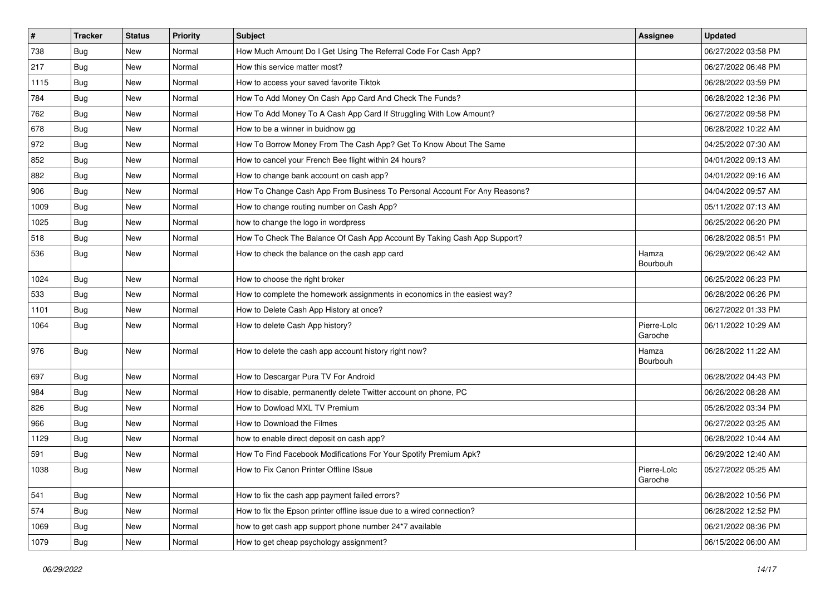| $\vert$ # | <b>Tracker</b> | <b>Status</b> | <b>Priority</b> | <b>Subject</b>                                                            | <b>Assignee</b>        | <b>Updated</b>      |
|-----------|----------------|---------------|-----------------|---------------------------------------------------------------------------|------------------------|---------------------|
| 738       | <b>Bug</b>     | New           | Normal          | How Much Amount Do I Get Using The Referral Code For Cash App?            |                        | 06/27/2022 03:58 PM |
| 217       | Bug            | New           | Normal          | How this service matter most?                                             |                        | 06/27/2022 06:48 PM |
| 1115      | <b>Bug</b>     | New           | Normal          | How to access your saved favorite Tiktok                                  |                        | 06/28/2022 03:59 PM |
| 784       | <b>Bug</b>     | New           | Normal          | How To Add Money On Cash App Card And Check The Funds?                    |                        | 06/28/2022 12:36 PM |
| 762       | <b>Bug</b>     | <b>New</b>    | Normal          | How To Add Money To A Cash App Card If Struggling With Low Amount?        |                        | 06/27/2022 09:58 PM |
| 678       | <b>Bug</b>     | New           | Normal          | How to be a winner in buidnow gg                                          |                        | 06/28/2022 10:22 AM |
| 972       | Bug            | New           | Normal          | How To Borrow Money From The Cash App? Get To Know About The Same         |                        | 04/25/2022 07:30 AM |
| 852       | <b>Bug</b>     | New           | Normal          | How to cancel your French Bee flight within 24 hours?                     |                        | 04/01/2022 09:13 AM |
| 882       | <b>Bug</b>     | New           | Normal          | How to change bank account on cash app?                                   |                        | 04/01/2022 09:16 AM |
| 906       | Bug            | New           | Normal          | How To Change Cash App From Business To Personal Account For Any Reasons? |                        | 04/04/2022 09:57 AM |
| 1009      | Bug            | New           | Normal          | How to change routing number on Cash App?                                 |                        | 05/11/2022 07:13 AM |
| 1025      | Bug            | New           | Normal          | how to change the logo in wordpress                                       |                        | 06/25/2022 06:20 PM |
| 518       | Bug            | <b>New</b>    | Normal          | How To Check The Balance Of Cash App Account By Taking Cash App Support?  |                        | 06/28/2022 08:51 PM |
| 536       | Bug            | New           | Normal          | How to check the balance on the cash app card                             | Hamza<br>Bourbouh      | 06/29/2022 06:42 AM |
| 1024      | Bug            | New           | Normal          | How to choose the right broker                                            |                        | 06/25/2022 06:23 PM |
| 533       | <b>Bug</b>     | New           | Normal          | How to complete the homework assignments in economics in the easiest way? |                        | 06/28/2022 06:26 PM |
| 1101      | Bug            | <b>New</b>    | Normal          | How to Delete Cash App History at once?                                   |                        | 06/27/2022 01:33 PM |
| 1064      | Bug            | New           | Normal          | How to delete Cash App history?                                           | Pierre-Loïc<br>Garoche | 06/11/2022 10:29 AM |
| 976       | Bug            | <b>New</b>    | Normal          | How to delete the cash app account history right now?                     | Hamza<br>Bourbouh      | 06/28/2022 11:22 AM |
| 697       | Bug            | <b>New</b>    | Normal          | How to Descargar Pura TV For Android                                      |                        | 06/28/2022 04:43 PM |
| 984       | Bug            | New           | Normal          | How to disable, permanently delete Twitter account on phone, PC           |                        | 06/26/2022 08:28 AM |
| 826       | <b>Bug</b>     | New           | Normal          | How to Dowload MXL TV Premium                                             |                        | 05/26/2022 03:34 PM |
| 966       | <b>Bug</b>     | New           | Normal          | How to Download the Filmes                                                |                        | 06/27/2022 03:25 AM |
| 1129      | Bug            | New           | Normal          | how to enable direct deposit on cash app?                                 |                        | 06/28/2022 10:44 AM |
| 591       | Bug            | New           | Normal          | How To Find Facebook Modifications For Your Spotify Premium Apk?          |                        | 06/29/2022 12:40 AM |
| 1038      | Bug            | New           | Normal          | How to Fix Canon Printer Offline ISsue                                    | Pierre-Loïc<br>Garoche | 05/27/2022 05:25 AM |
| 541       | Bug            | New           | Normal          | How to fix the cash app payment failed errors?                            |                        | 06/28/2022 10:56 PM |
| 574       | Bug            | New           | Normal          | How to fix the Epson printer offline issue due to a wired connection?     |                        | 06/28/2022 12:52 PM |
| 1069      | Bug            | New           | Normal          | how to get cash app support phone number 24*7 available                   |                        | 06/21/2022 08:36 PM |
| 1079      | Bug            | New           | Normal          | How to get cheap psychology assignment?                                   |                        | 06/15/2022 06:00 AM |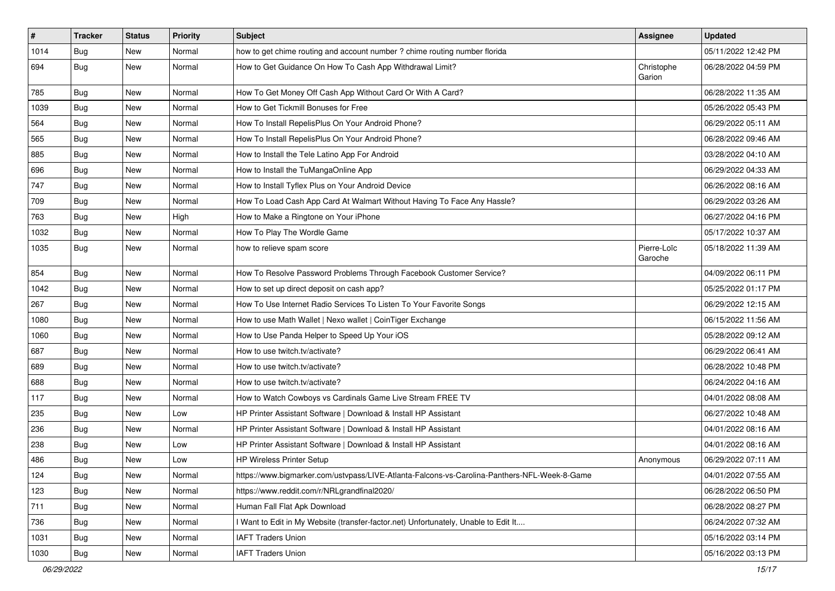| $\vert$ # | <b>Tracker</b> | <b>Status</b> | <b>Priority</b> | Subject                                                                                      | <b>Assignee</b>        | <b>Updated</b>      |
|-----------|----------------|---------------|-----------------|----------------------------------------------------------------------------------------------|------------------------|---------------------|
| 1014      | Bug            | New           | Normal          | how to get chime routing and account number ? chime routing number florida                   |                        | 05/11/2022 12:42 PM |
| 694       | Bug            | New           | Normal          | How to Get Guidance On How To Cash App Withdrawal Limit?                                     | Christophe<br>Garion   | 06/28/2022 04:59 PM |
| 785       | Bug            | <b>New</b>    | Normal          | How To Get Money Off Cash App Without Card Or With A Card?                                   |                        | 06/28/2022 11:35 AM |
| 1039      | Bug            | <b>New</b>    | Normal          | How to Get Tickmill Bonuses for Free                                                         |                        | 05/26/2022 05:43 PM |
| 564       | Bug            | New           | Normal          | How To Install RepelisPlus On Your Android Phone?                                            |                        | 06/29/2022 05:11 AM |
| 565       | Bug            | New           | Normal          | How To Install RepelisPlus On Your Android Phone?                                            |                        | 06/28/2022 09:46 AM |
| 885       | Bug            | <b>New</b>    | Normal          | How to Install the Tele Latino App For Android                                               |                        | 03/28/2022 04:10 AM |
| 696       | <b>Bug</b>     | New           | Normal          | How to Install the TuMangaOnline App                                                         |                        | 06/29/2022 04:33 AM |
| 747       | Bug            | <b>New</b>    | Normal          | How to Install Tyflex Plus on Your Android Device                                            |                        | 06/26/2022 08:16 AM |
| 709       | Bug            | New           | Normal          | How To Load Cash App Card At Walmart Without Having To Face Any Hassle?                      |                        | 06/29/2022 03:26 AM |
| 763       | Bug            | <b>New</b>    | High            | How to Make a Ringtone on Your iPhone                                                        |                        | 06/27/2022 04:16 PM |
| 1032      | Bug            | <b>New</b>    | Normal          | How To Play The Wordle Game                                                                  |                        | 05/17/2022 10:37 AM |
| 1035      | Bug            | New           | Normal          | how to relieve spam score                                                                    | Pierre-Loïc<br>Garoche | 05/18/2022 11:39 AM |
| 854       | Bug            | <b>New</b>    | Normal          | How To Resolve Password Problems Through Facebook Customer Service?                          |                        | 04/09/2022 06:11 PM |
| 1042      | Bug            | <b>New</b>    | Normal          | How to set up direct deposit on cash app?                                                    |                        | 05/25/2022 01:17 PM |
| 267       | <b>Bug</b>     | <b>New</b>    | Normal          | How To Use Internet Radio Services To Listen To Your Favorite Songs                          |                        | 06/29/2022 12:15 AM |
| 1080      | Bug            | New           | Normal          | How to use Math Wallet   Nexo wallet   CoinTiger Exchange                                    |                        | 06/15/2022 11:56 AM |
| 1060      | Bug            | <b>New</b>    | Normal          | How to Use Panda Helper to Speed Up Your iOS                                                 |                        | 05/28/2022 09:12 AM |
| 687       | Bug            | <b>New</b>    | Normal          | How to use twitch.tv/activate?                                                               |                        | 06/29/2022 06:41 AM |
| 689       | <b>Bug</b>     | New           | Normal          | How to use twitch.tv/activate?                                                               |                        | 06/28/2022 10:48 PM |
| 688       | Bug            | New           | Normal          | How to use twitch.tv/activate?                                                               |                        | 06/24/2022 04:16 AM |
| 117       | <b>Bug</b>     | New           | Normal          | How to Watch Cowboys vs Cardinals Game Live Stream FREE TV                                   |                        | 04/01/2022 08:08 AM |
| 235       | Bug            | New           | Low             | HP Printer Assistant Software   Download & Install HP Assistant                              |                        | 06/27/2022 10:48 AM |
| 236       | Bug            | <b>New</b>    | Normal          | HP Printer Assistant Software   Download & Install HP Assistant                              |                        | 04/01/2022 08:16 AM |
| 238       | Bug            | New           | Low             | HP Printer Assistant Software   Download & Install HP Assistant                              |                        | 04/01/2022 08:16 AM |
| 486       | Bug            | New           | Low             | HP Wireless Printer Setup                                                                    | Anonymous              | 06/29/2022 07:11 AM |
| 124       | Bug            | New           | Normal          | https://www.bigmarker.com/ustvpass/LIVE-Atlanta-Falcons-vs-Carolina-Panthers-NFL-Week-8-Game |                        | 04/01/2022 07:55 AM |
| 123       | Bug            | New           | Normal          | https://www.reddit.com/r/NRLgrandfinal2020/                                                  |                        | 06/28/2022 06:50 PM |
| 711       | Bug            | New           | Normal          | Human Fall Flat Apk Download                                                                 |                        | 06/28/2022 08:27 PM |
| 736       | Bug            | New           | Normal          | I Want to Edit in My Website (transfer-factor.net) Unfortunately, Unable to Edit It          |                        | 06/24/2022 07:32 AM |
| 1031      | Bug            | New           | Normal          | <b>IAFT Traders Union</b>                                                                    |                        | 05/16/2022 03:14 PM |
| 1030      | Bug            | New           | Normal          | <b>IAFT Traders Union</b>                                                                    |                        | 05/16/2022 03:13 PM |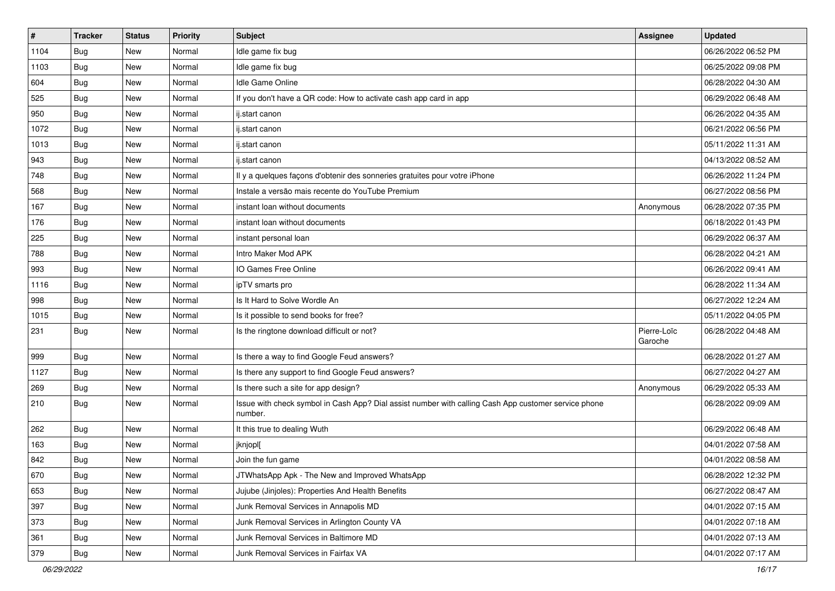| $\vert$ # | <b>Tracker</b> | <b>Status</b> | <b>Priority</b> | <b>Subject</b>                                                                                                  | <b>Assignee</b>        | <b>Updated</b>      |
|-----------|----------------|---------------|-----------------|-----------------------------------------------------------------------------------------------------------------|------------------------|---------------------|
| 1104      | Bug            | New           | Normal          | Idle game fix bug                                                                                               |                        | 06/26/2022 06:52 PM |
| 1103      | Bug            | New           | Normal          | Idle game fix bug                                                                                               |                        | 06/25/2022 09:08 PM |
| 604       | Bug            | New           | Normal          | Idle Game Online                                                                                                |                        | 06/28/2022 04:30 AM |
| 525       | <b>Bug</b>     | <b>New</b>    | Normal          | If you don't have a QR code: How to activate cash app card in app                                               |                        | 06/29/2022 06:48 AM |
| 950       | Bug            | <b>New</b>    | Normal          | ij.start canon                                                                                                  |                        | 06/26/2022 04:35 AM |
| 1072      | Bug            | <b>New</b>    | Normal          | ij.start canon                                                                                                  |                        | 06/21/2022 06:56 PM |
| 1013      | Bug            | <b>New</b>    | Normal          | ij.start canon                                                                                                  |                        | 05/11/2022 11:31 AM |
| 943       | Bug            | <b>New</b>    | Normal          | ij.start canon                                                                                                  |                        | 04/13/2022 08:52 AM |
| 748       | Bug            | <b>New</b>    | Normal          | Il y a quelques façons d'obtenir des sonneries gratuites pour votre iPhone                                      |                        | 06/26/2022 11:24 PM |
| 568       | Bug            | <b>New</b>    | Normal          | Instale a versão mais recente do YouTube Premium                                                                |                        | 06/27/2022 08:56 PM |
| 167       | Bug            | New           | Normal          | instant loan without documents                                                                                  | Anonymous              | 06/28/2022 07:35 PM |
| 176       | Bug            | New           | Normal          | instant loan without documents                                                                                  |                        | 06/18/2022 01:43 PM |
| 225       | Bug            | <b>New</b>    | Normal          | instant personal loan                                                                                           |                        | 06/29/2022 06:37 AM |
| 788       | Bug            | <b>New</b>    | Normal          | Intro Maker Mod APK                                                                                             |                        | 06/28/2022 04:21 AM |
| 993       | Bug            | <b>New</b>    | Normal          | IO Games Free Online                                                                                            |                        | 06/26/2022 09:41 AM |
| 1116      | Bug            | New           | Normal          | ipTV smarts pro                                                                                                 |                        | 06/28/2022 11:34 AM |
| 998       | Bug            | <b>New</b>    | Normal          | Is It Hard to Solve Wordle An                                                                                   |                        | 06/27/2022 12:24 AM |
| 1015      | Bug            | <b>New</b>    | Normal          | Is it possible to send books for free?                                                                          |                        | 05/11/2022 04:05 PM |
| 231       | Bug            | New           | Normal          | Is the ringtone download difficult or not?                                                                      | Pierre-Loïc<br>Garoche | 06/28/2022 04:48 AM |
| 999       | Bug            | <b>New</b>    | Normal          | Is there a way to find Google Feud answers?                                                                     |                        | 06/28/2022 01:27 AM |
| 1127      | Bug            | <b>New</b>    | Normal          | Is there any support to find Google Feud answers?                                                               |                        | 06/27/2022 04:27 AM |
| 269       | Bug            | <b>New</b>    | Normal          | Is there such a site for app design?                                                                            | Anonymous              | 06/29/2022 05:33 AM |
| 210       | Bug            | New           | Normal          | Issue with check symbol in Cash App? Dial assist number with calling Cash App customer service phone<br>number. |                        | 06/28/2022 09:09 AM |
| 262       | Bug            | New           | Normal          | It this true to dealing Wuth                                                                                    |                        | 06/29/2022 06:48 AM |
| 163       | <b>Bug</b>     | New           | Normal          | jknjopl[                                                                                                        |                        | 04/01/2022 07:58 AM |
| 842       | Bug            | New           | Normal          | Join the fun game                                                                                               |                        | 04/01/2022 08:58 AM |
| 670       | Bug            | New           | Normal          | JTWhatsApp Apk - The New and Improved WhatsApp                                                                  |                        | 06/28/2022 12:32 PM |
| 653       | Bug            | New           | Normal          | Jujube (Jinjoles): Properties And Health Benefits                                                               |                        | 06/27/2022 08:47 AM |
| 397       | Bug            | New           | Normal          | Junk Removal Services in Annapolis MD                                                                           |                        | 04/01/2022 07:15 AM |
| 373       | <b>Bug</b>     | New           | Normal          | Junk Removal Services in Arlington County VA                                                                    |                        | 04/01/2022 07:18 AM |
| 361       | Bug            | New           | Normal          | Junk Removal Services in Baltimore MD                                                                           |                        | 04/01/2022 07:13 AM |
| 379       | <b>Bug</b>     | New           | Normal          | Junk Removal Services in Fairfax VA                                                                             |                        | 04/01/2022 07:17 AM |